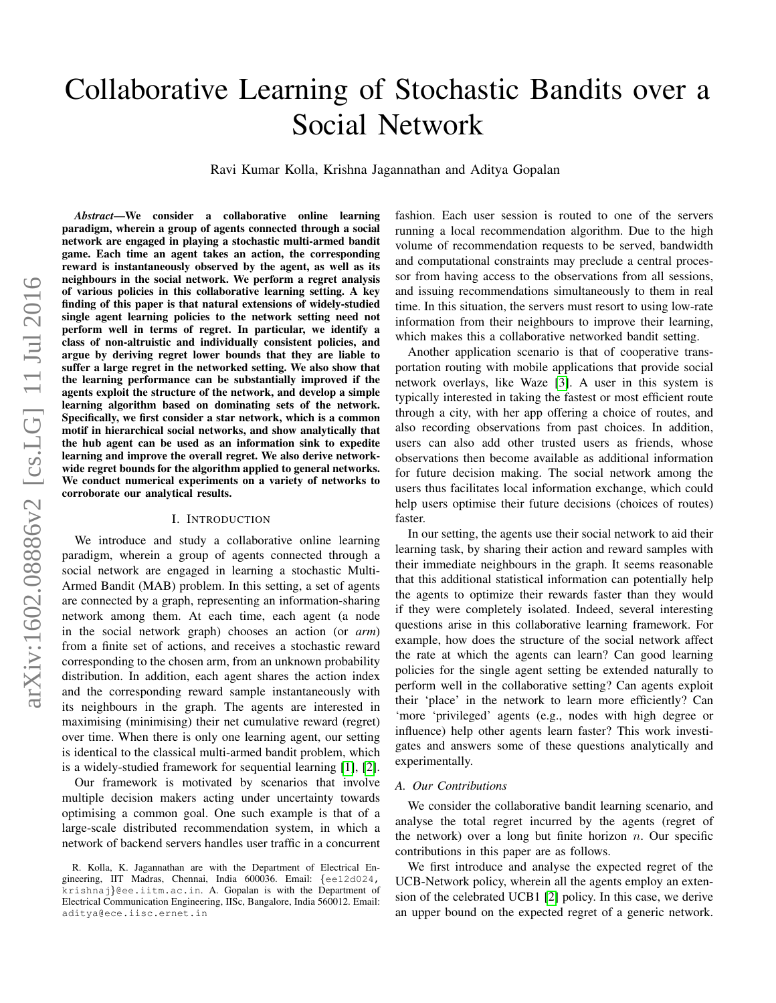# Collaborative Learning of Stochastic Bandits over a Social Network

Ravi Kumar Kolla, Krishna Jagannathan and Aditya Gopalan

*Abstract*—We consider a collaborative online learning paradigm, wherein a group of agents connected through a social network are engaged in playing a stochastic multi-armed bandit game. Each time an agent takes an action, the corresponding reward is instantaneously observed by the agent, as well as its neighbours in the social network. We perform a regret analysis of various policies in this collaborative learning setting. A key finding of this paper is that natural extensions of widely-studied single agent learning policies to the network setting need not perform well in terms of regret. In particular, we identify a class of non-altruistic and individually consistent policies, and argue by deriving regret lower bounds that they are liable to suffer a large regret in the networked setting. We also show that the learning performance can be substantially improved if the agents exploit the structure of the network, and develop a simple learning algorithm based on dominating sets of the network. Specifically, we first consider a star network, which is a common motif in hierarchical social networks, and show analytically that the hub agent can be used as an information sink to expedite learning and improve the overall regret. We also derive networkwide regret bounds for the algorithm applied to general networks. We conduct numerical experiments on a variety of networks to corroborate our analytical results.

## I. INTRODUCTION

We introduce and study a collaborative online learning paradigm, wherein a group of agents connected through a social network are engaged in learning a stochastic Multi-Armed Bandit (MAB) problem. In this setting, a set of agents are connected by a graph, representing an information-sharing network among them. At each time, each agent (a node in the social network graph) chooses an action (or *arm*) from a finite set of actions, and receives a stochastic reward corresponding to the chosen arm, from an unknown probability distribution. In addition, each agent shares the action index and the corresponding reward sample instantaneously with its neighbours in the graph. The agents are interested in maximising (minimising) their net cumulative reward (regret) over time. When there is only one learning agent, our setting is identical to the classical multi-armed bandit problem, which is a widely-studied framework for sequential learning [\[1\]](#page-7-0), [\[2\]](#page-7-1).

Our framework is motivated by scenarios that involve multiple decision makers acting under uncertainty towards optimising a common goal. One such example is that of a large-scale distributed recommendation system, in which a network of backend servers handles user traffic in a concurrent fashion. Each user session is routed to one of the servers running a local recommendation algorithm. Due to the high volume of recommendation requests to be served, bandwidth and computational constraints may preclude a central processor from having access to the observations from all sessions, and issuing recommendations simultaneously to them in real time. In this situation, the servers must resort to using low-rate information from their neighbours to improve their learning, which makes this a collaborative networked bandit setting.

Another application scenario is that of cooperative transportation routing with mobile applications that provide social network overlays, like Waze [\[3\]](#page-7-2). A user in this system is typically interested in taking the fastest or most efficient route through a city, with her app offering a choice of routes, and also recording observations from past choices. In addition, users can also add other trusted users as friends, whose observations then become available as additional information for future decision making. The social network among the users thus facilitates local information exchange, which could help users optimise their future decisions (choices of routes) faster.

In our setting, the agents use their social network to aid their learning task, by sharing their action and reward samples with their immediate neighbours in the graph. It seems reasonable that this additional statistical information can potentially help the agents to optimize their rewards faster than they would if they were completely isolated. Indeed, several interesting questions arise in this collaborative learning framework. For example, how does the structure of the social network affect the rate at which the agents can learn? Can good learning policies for the single agent setting be extended naturally to perform well in the collaborative setting? Can agents exploit their 'place' in the network to learn more efficiently? Can 'more 'privileged' agents (e.g., nodes with high degree or influence) help other agents learn faster? This work investigates and answers some of these questions analytically and experimentally.

## *A. Our Contributions*

We consider the collaborative bandit learning scenario, and analyse the total regret incurred by the agents (regret of the network) over a long but finite horizon  $n$ . Our specific contributions in this paper are as follows.

We first introduce and analyse the expected regret of the UCB-Network policy, wherein all the agents employ an extension of the celebrated UCB1 [\[2\]](#page-7-1) policy. In this case, we derive an upper bound on the expected regret of a generic network.

R. Kolla, K. Jagannathan are with the Department of Electrical Engineering, IIT Madras, Chennai, India 600036. Email: {ee12d024, krishnaj}@ee.iitm.ac.in. A. Gopalan is with the Department of Electrical Communication Engineering, IISc, Bangalore, India 560012. Email: aditya@ece.iisc.ernet.in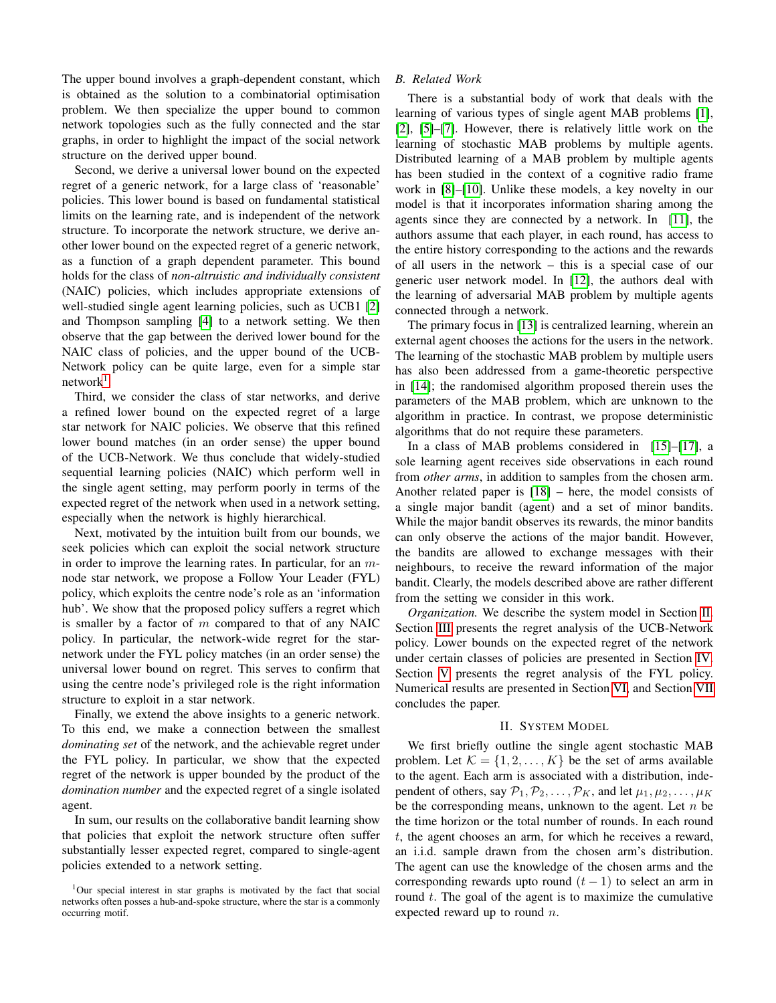The upper bound involves a graph-dependent constant, which is obtained as the solution to a combinatorial optimisation problem. We then specialize the upper bound to common network topologies such as the fully connected and the star graphs, in order to highlight the impact of the social network structure on the derived upper bound.

Second, we derive a universal lower bound on the expected regret of a generic network, for a large class of 'reasonable' policies. This lower bound is based on fundamental statistical limits on the learning rate, and is independent of the network structure. To incorporate the network structure, we derive another lower bound on the expected regret of a generic network, as a function of a graph dependent parameter. This bound holds for the class of *non-altruistic and individually consistent* (NAIC) policies, which includes appropriate extensions of well-studied single agent learning policies, such as UCB1 [\[2\]](#page-7-1) and Thompson sampling [\[4\]](#page-7-3) to a network setting. We then observe that the gap between the derived lower bound for the NAIC class of policies, and the upper bound of the UCB-Network policy can be quite large, even for a simple star  $network<sup>1</sup>$  $network<sup>1</sup>$  $network<sup>1</sup>$ .

Third, we consider the class of star networks, and derive a refined lower bound on the expected regret of a large star network for NAIC policies. We observe that this refined lower bound matches (in an order sense) the upper bound of the UCB-Network. We thus conclude that widely-studied sequential learning policies (NAIC) which perform well in the single agent setting, may perform poorly in terms of the expected regret of the network when used in a network setting, especially when the network is highly hierarchical.

Next, motivated by the intuition built from our bounds, we seek policies which can exploit the social network structure in order to improve the learning rates. In particular, for an  $m$ node star network, we propose a Follow Your Leader (FYL) policy, which exploits the centre node's role as an 'information hub'. We show that the proposed policy suffers a regret which is smaller by a factor of  $m$  compared to that of any NAIC policy. In particular, the network-wide regret for the starnetwork under the FYL policy matches (in an order sense) the universal lower bound on regret. This serves to confirm that using the centre node's privileged role is the right information structure to exploit in a star network.

Finally, we extend the above insights to a generic network. To this end, we make a connection between the smallest *dominating set* of the network, and the achievable regret under the FYL policy. In particular, we show that the expected regret of the network is upper bounded by the product of the *domination number* and the expected regret of a single isolated agent.

In sum, our results on the collaborative bandit learning show that policies that exploit the network structure often suffer substantially lesser expected regret, compared to single-agent policies extended to a network setting.

## *B. Related Work*

There is a substantial body of work that deals with the learning of various types of single agent MAB problems [\[1\]](#page-7-0), [\[2\]](#page-7-1), [\[5\]](#page-7-4)–[\[7\]](#page-7-5). However, there is relatively little work on the learning of stochastic MAB problems by multiple agents. Distributed learning of a MAB problem by multiple agents has been studied in the context of a cognitive radio frame work in [\[8\]](#page-7-6)–[\[10\]](#page-7-7). Unlike these models, a key novelty in our model is that it incorporates information sharing among the agents since they are connected by a network. In [\[11\]](#page-7-8), the authors assume that each player, in each round, has access to the entire history corresponding to the actions and the rewards of all users in the network – this is a special case of our generic user network model. In [\[12\]](#page-7-9), the authors deal with the learning of adversarial MAB problem by multiple agents connected through a network.

The primary focus in [\[13\]](#page-7-10) is centralized learning, wherein an external agent chooses the actions for the users in the network. The learning of the stochastic MAB problem by multiple users has also been addressed from a game-theoretic perspective in [\[14\]](#page-7-11); the randomised algorithm proposed therein uses the parameters of the MAB problem, which are unknown to the algorithm in practice. In contrast, we propose deterministic algorithms that do not require these parameters.

In a class of MAB problems considered in [\[15\]](#page-7-12)–[\[17\]](#page-7-13), a sole learning agent receives side observations in each round from *other arms*, in addition to samples from the chosen arm. Another related paper is [\[18\]](#page-7-14) – here, the model consists of a single major bandit (agent) and a set of minor bandits. While the major bandit observes its rewards, the minor bandits can only observe the actions of the major bandit. However, the bandits are allowed to exchange messages with their neighbours, to receive the reward information of the major bandit. Clearly, the models described above are rather different from the setting we consider in this work.

*Organization.* We describe the system model in Section [II.](#page-1-1) Section [III](#page-2-0) presents the regret analysis of the UCB-Network policy. Lower bounds on the expected regret of the network under certain classes of policies are presented in Section [IV.](#page-3-0) Section [V](#page-5-0) presents the regret analysis of the FYL policy. Numerical results are presented in Section [VI,](#page-6-0) and Section [VII](#page-6-1) concludes the paper.

## II. SYSTEM MODEL

<span id="page-1-1"></span>We first briefly outline the single agent stochastic MAB problem. Let  $\mathcal{K} = \{1, 2, ..., K\}$  be the set of arms available to the agent. Each arm is associated with a distribution, independent of others, say  $\mathcal{P}_1, \mathcal{P}_2, \ldots, \mathcal{P}_K$ , and let  $\mu_1, \mu_2, \ldots, \mu_K$ be the corresponding means, unknown to the agent. Let  $n$  be the time horizon or the total number of rounds. In each round t, the agent chooses an arm, for which he receives a reward, an i.i.d. sample drawn from the chosen arm's distribution. The agent can use the knowledge of the chosen arms and the corresponding rewards upto round  $(t - 1)$  to select an arm in round  $t$ . The goal of the agent is to maximize the cumulative expected reward up to round  $n$ .

<span id="page-1-0"></span><sup>&</sup>lt;sup>1</sup>Our special interest in star graphs is motivated by the fact that social networks often posses a hub-and-spoke structure, where the star is a commonly occurring motif.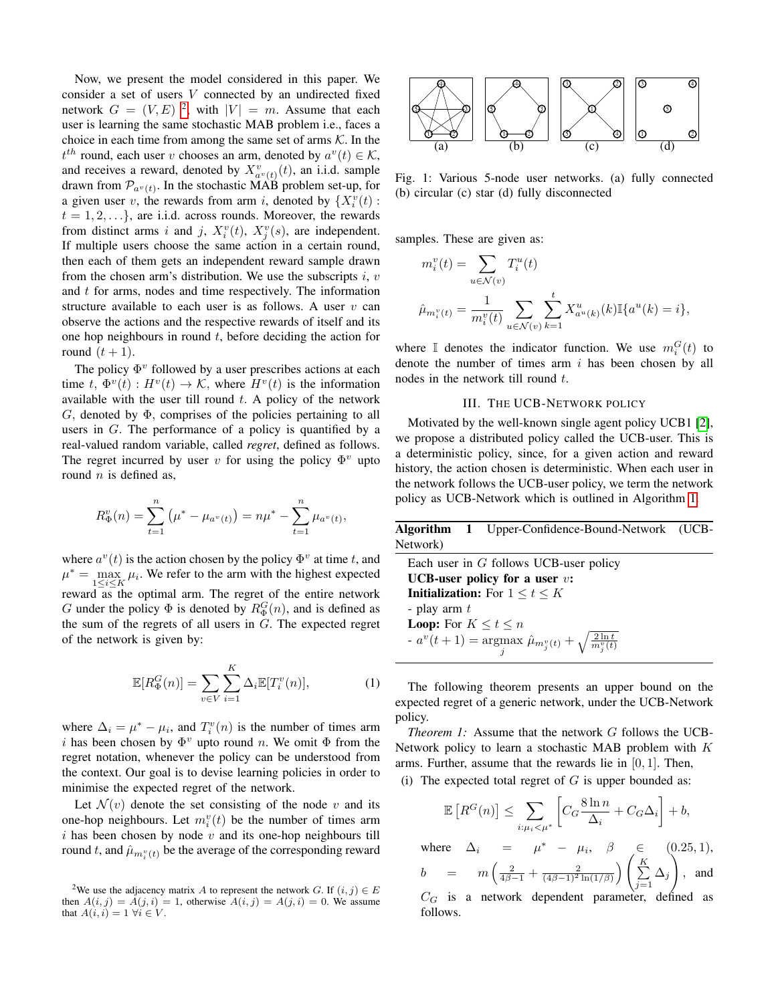Now, we present the model considered in this paper. We consider a set of users  $V$  connected by an undirected fixed network  $G = (V, E)^2$  $G = (V, E)^2$ , with  $|V| = m$ . Assume that each user is learning the same stochastic MAB problem i.e., faces a choice in each time from among the same set of arms  $K$ . In the  $t^{th}$  round, each user v chooses an arm, denoted by  $a^v(t) \in \mathcal{K}$ , and receives a reward, denoted by  $X^v_{a^v(t)}(t)$ , an i.i.d. sample drawn from  $\mathcal{P}_{a^{\nu}(t)}$ . In the stochastic MAB problem set-up, for a given user v, the rewards from arm i, denoted by  $\{X_i^v(t):$  $t = 1, 2, \ldots$ , are i.i.d. across rounds. Moreover, the rewards from distinct arms i and j,  $X_i^v(t)$ ,  $X_j^v(s)$ , are independent. If multiple users choose the same action in a certain round, then each of them gets an independent reward sample drawn from the chosen arm's distribution. We use the subscripts  $i, v$ and  $t$  for arms, nodes and time respectively. The information structure available to each user is as follows. A user  $v$  can observe the actions and the respective rewards of itself and its one hop neighbours in round  $t$ , before deciding the action for round  $(t + 1)$ .

The policy  $\Phi^v$  followed by a user prescribes actions at each time  $t, \Phi^v(t) : H^v(t) \to \mathcal{K}$ , where  $H^v(t)$  is the information available with the user till round  $t$ . A policy of the network G, denoted by  $\Phi$ , comprises of the policies pertaining to all users in G. The performance of a policy is quantified by a real-valued random variable, called *regret*, defined as follows. The regret incurred by user v for using the policy  $\Phi^v$  upto round  $n$  is defined as,

$$
R_{\Phi}^{v}(n) = \sum_{t=1}^{n} (\mu^{*} - \mu_{a^{v}(t)}) = n\mu^{*} - \sum_{t=1}^{n} \mu_{a^{v}(t)}
$$

where  $a^v(t)$  is the action chosen by the policy  $\Phi^v$  at time t, and  $\mu^* = \max_{1 \le i \le K} \mu_i$ . We refer to the arm with the highest expected reward  $\bar{a}$  as the optimal arm. The regret of the entire network G under the policy  $\Phi$  is denoted by  $R_{\Phi}^{G}(n)$ , and is defined as the sum of the regrets of all users in  $G$ . The expected regret of the network is given by:

<span id="page-2-5"></span>
$$
\mathbb{E}[R_{\Phi}^{G}(n)] = \sum_{v \in V} \sum_{i=1}^{K} \Delta_{i} \mathbb{E}[T_{i}^{v}(n)], \qquad (1)
$$

,

where  $\Delta_i = \mu^* - \mu_i$ , and  $T_i^v(n)$  is the number of times arm i has been chosen by  $\Phi^v$  upto round n. We omit  $\Phi$  from the regret notation, whenever the policy can be understood from the context. Our goal is to devise learning policies in order to minimise the expected regret of the network.

Let  $\mathcal{N}(v)$  denote the set consisting of the node v and its one-hop neighbours. Let  $m_i^v(t)$  be the number of times arm  $i$  has been chosen by node  $v$  and its one-hop neighbours till round t, and  $\hat{\mu}_{m_i^v(t)}$  be the average of the corresponding reward

<span id="page-2-3"></span>

Fig. 1: Various 5-node user networks. (a) fully connected (b) circular (c) star (d) fully disconnected

samples. These are given as:

$$
m_i^v(t) = \sum_{u \in \mathcal{N}(v)} T_i^u(t)
$$
  

$$
\hat{\mu}_{m_i^v(t)} = \frac{1}{m_i^v(t)} \sum_{u \in \mathcal{N}(v)} \sum_{k=1}^t X_{a^u(k)}^u(k) \mathbb{I}\{a^u(k) = i\},
$$

where  $\mathbb I$  denotes the indicator function. We use  $m_i^G(t)$  to denote the number of times arm  $i$  has been chosen by all nodes in the network till round  $t$ .

## III. THE UCB-NETWORK POLICY

<span id="page-2-0"></span>Motivated by the well-known single agent policy UCB1 [\[2\]](#page-7-1), we propose a distributed policy called the UCB-user. This is a deterministic policy, since, for a given action and reward history, the action chosen is deterministic. When each user in the network follows the UCB-user policy, we term the network policy as UCB-Network which is outlined in Algorithm [1.](#page-2-2)

<span id="page-2-2"></span>Algorithm 1 Upper-Confidence-Bound-Network (UCB-Network)

| Each user in $G$ follows UCB-user policy                                       |  |  |  |
|--------------------------------------------------------------------------------|--|--|--|
| <b>UCB-user policy for a user <math>v</math>:</b>                              |  |  |  |
| <b>Initialization:</b> For $1 \le t \le K$                                     |  |  |  |
| - play arm $t$                                                                 |  |  |  |
| <b>Loop:</b> For $K \le t \le n$                                               |  |  |  |
| - $a^v(t+1)$ = argmax $\hat{\mu}_{m_j^v(t)} + \sqrt{\frac{2 \ln t}{m_j^v(t)}}$ |  |  |  |

The following theorem presents an upper bound on the expected regret of a generic network, under the UCB-Network policy.

<span id="page-2-4"></span>*Theorem 1:* Assume that the network G follows the UCB-Network policy to learn a stochastic MAB problem with  $K$ arms. Further, assume that the rewards lie in  $[0, 1]$ . Then,

(i) The expected total regret of  $G$  is upper bounded as:

$$
\mathbb{E}\left[R^G(n)\right] \le \sum_{i:\mu_i < \mu^*} \left[C_G \frac{8\ln n}{\Delta_i} + C_G \Delta_i\right] + b,
$$

where  $\Delta_i = \mu^* - \mu_i, \beta \in (0.25, 1),$  $b = m\left(\frac{2}{4\beta-1} + \frac{2}{(4\beta-1)^2 \ln(1/\beta)}\right)$  $\sum_{i=1}^{K}$  $\sum_{j=1} \Delta_j$  $\setminus$ , and

 $C_G$  is a network dependent parameter, defined as follows.

<span id="page-2-1"></span><sup>&</sup>lt;sup>2</sup>We use the adjacency matrix A to represent the network G. If  $(i, j) \in E$ then  $A(i, j) = A(j, i) = 1$ , otherwise  $A(i, j) = A(j, i) = 0$ . We assume that  $A(i, i) = 1 \ \forall i \in V$ .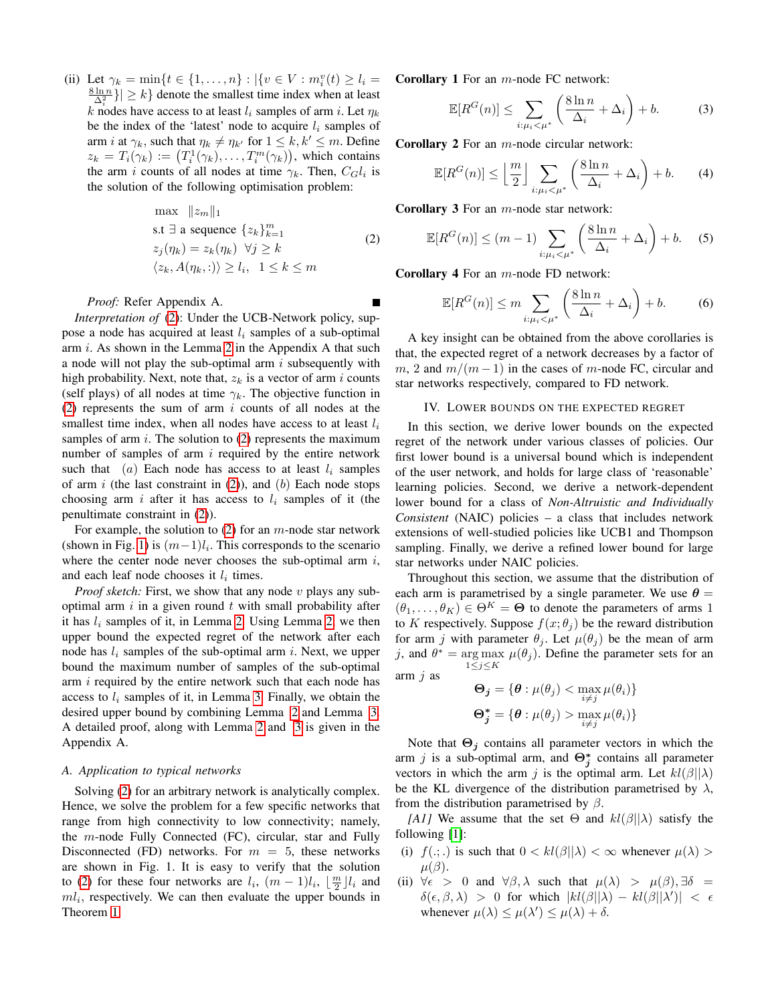(ii) Let  $\gamma_k = \min\{t \in \{1, ..., n\} : |\{v \in V : m_i^v(t) \ge l_i =$  $\left\{\frac{8 \ln n}{\Delta_i^2}\right\}$   $\geq k$  denote the smallest time index when at least k nodes have access to at least  $l_i$  samples of arm i. Let  $\eta_k$ be the index of the 'latest' node to acquire  $l_i$  samples of arm *i* at  $\gamma_k$ , such that  $\eta_k \neq \eta_{k'}$  for  $1 \leq k, k' \leq m$ . Define  $z_k = T_i(\gamma_k) := (T_i^1(\gamma_k), \dots, T_i^m(\gamma_k)),$  which contains the arm i counts of all nodes at time  $\gamma_k$ . Then,  $C_G l_i$  is the solution of the following optimisation problem:

<span id="page-3-1"></span>
$$
\max ||z_m||_1
$$
  
s.t  $\exists$  a sequence  $\{z_k\}_{k=1}^m$   
 $z_j(\eta_k) = z_k(\eta_k) \quad \forall j \ge k$   
 $\langle z_k, A(\eta_k, :) \rangle \ge l_i, \quad 1 \le k \le m$  (2)

П

#### *Proof:* Refer Appendix A.

*Interpretation of* [\(2\)](#page-3-1): Under the UCB-Network policy, suppose a node has acquired at least  $l_i$  samples of a sub-optimal arm  $i$ . As shown in the Lemma [2](#page-8-0) in the Appendix A that such a node will not play the sub-optimal arm  $i$  subsequently with high probability. Next, note that,  $z_k$  is a vector of arm i counts (self plays) of all nodes at time  $\gamma_k$ . The objective function in [\(2\)](#page-3-1) represents the sum of arm  $i$  counts of all nodes at the smallest time index, when all nodes have access to at least  $l_i$ samples of arm  $i$ . The solution to  $(2)$  represents the maximum number of samples of arm  $i$  required by the entire network such that (a) Each node has access to at least  $l_i$  samples of arm  $i$  (the last constraint in [\(2\)](#page-3-1)), and (b) Each node stops choosing arm i after it has access to  $l_i$  samples of it (the penultimate constraint in [\(2\)](#page-3-1)).

For example, the solution to  $(2)$  for an m-node star network (shown in Fig. [1\)](#page-2-3) is  $(m-1)l_i$ . This corresponds to the scenario where the center node never chooses the sub-optimal arm  $i$ , and each leaf node chooses it  $l_i$  times.

*Proof sketch:* First, we show that any node v plays any suboptimal arm  $i$  in a given round  $t$  with small probability after it has  $l_i$  samples of it, in Lemma [2.](#page-8-0) Using Lemma [2,](#page-8-0) we then upper bound the expected regret of the network after each node has  $l_i$  samples of the sub-optimal arm i. Next, we upper bound the maximum number of samples of the sub-optimal arm  $i$  required by the entire network such that each node has access to  $l_i$  samples of it, in Lemma [3.](#page-9-0) Finally, we obtain the desired upper bound by combining Lemma [2](#page-8-0) and Lemma [3.](#page-9-0) A detailed proof, along with Lemma [2](#page-8-0) and [3](#page-9-0) is given in the Appendix A.

#### *A. Application to typical networks*

Solving [\(2\)](#page-3-1) for an arbitrary network is analytically complex. Hence, we solve the problem for a few specific networks that range from high connectivity to low connectivity; namely, the  $m$ -node Fully Connected (FC), circular, star and Fully Disconnected (FD) networks. For  $m = 5$ , these networks are shown in Fig. 1. It is easy to verify that the solution to [\(2\)](#page-3-1) for these four networks are  $l_i$ ,  $(m-1)l_i$ ,  $\lfloor \frac{m}{2} \rfloor l_i$  and  $ml_i$ , respectively. We can then evaluate the upper bounds in Theorem [1.](#page-2-4)

Corollary 1 For an m-node FC network:

$$
\mathbb{E}[R^G(n)] \le \sum_{i:\mu_i < \mu^*} \left(\frac{8\ln n}{\Delta_i} + \Delta_i\right) + b. \tag{3}
$$

Corollary 2 For an m-node circular network:

$$
\mathbb{E}[R^G(n)] \le \left\lfloor \frac{m}{2} \right\rfloor \sum_{i:\mu_i < \mu^*} \left( \frac{8\ln n}{\Delta_i} + \Delta_i \right) + b. \tag{4}
$$

**Corollary 3** For an  $m$ -node star network:

$$
\mathbb{E}[R^G(n)] \le (m-1) \sum_{i:\mu_i < \mu^*} \left(\frac{8\ln n}{\Delta_i} + \Delta_i\right) + b. \tag{5}
$$

**Corollary 4** For an  $m$ -node FD network:

$$
\mathbb{E}[R^G(n)] \le m \sum_{i:\mu_i < \mu^*} \left(\frac{8\ln n}{\Delta_i} + \Delta_i\right) + b. \tag{6}
$$

A key insight can be obtained from the above corollaries is that, the expected regret of a network decreases by a factor of m, 2 and  $m/(m-1)$  in the cases of m-node FC, circular and star networks respectively, compared to FD network.

#### IV. LOWER BOUNDS ON THE EXPECTED REGRET

<span id="page-3-0"></span>In this section, we derive lower bounds on the expected regret of the network under various classes of policies. Our first lower bound is a universal bound which is independent of the user network, and holds for large class of 'reasonable' learning policies. Second, we derive a network-dependent lower bound for a class of *Non-Altruistic and Individually Consistent* (NAIC) policies – a class that includes network extensions of well-studied policies like UCB1 and Thompson sampling. Finally, we derive a refined lower bound for large star networks under NAIC policies.

Throughout this section, we assume that the distribution of each arm is parametrised by a single parameter. We use  $\theta =$  $(\theta_1, \ldots, \theta_K) \in \Theta^K = \Theta$  to denote the parameters of arms 1 to K respectively. Suppose  $f(x; \theta_i)$  be the reward distribution for arm j with parameter  $\theta_j$ . Let  $\mu(\theta_j)$  be the mean of arm j, and  $\theta^* = \arg \max \mu(\theta_j)$ . Define the parameter sets for an  $1\leq j\leq K$ arm  $j$  as

$$
\Theta_j = \{ \theta : \mu(\theta_j) < \max_{i \neq j} \mu(\theta_i) \}
$$
\n
$$
\Theta_j^* = \{ \theta : \mu(\theta_j) > \max_{i \neq j} \mu(\theta_i) \}
$$

Note that  $\Theta_j$  contains all parameter vectors in which the arm j is a sub-optimal arm, and  $\Theta_j^*$  contains all parameter vectors in which the arm j is the optimal arm. Let  $kl(\beta||\lambda)$ be the KL divergence of the distribution parametrised by  $\lambda$ , from the distribution parametrised by  $\beta$ .

*[A1]* We assume that the set  $\Theta$  and  $kl(\beta||\lambda)$  satisfy the following [\[1\]](#page-7-0):

- (i)  $f(.; .)$  is such that  $0 < kl(\beta||\lambda) < \infty$  whenever  $\mu(\lambda) >$  $\mu(\beta)$ .
- (ii)  $\forall \epsilon > 0$  and  $\forall \beta, \lambda$  such that  $\mu(\lambda) > \mu(\beta), \exists \delta =$  $\delta(\epsilon, \beta, \lambda) > 0$  for which  $|kl(\beta||\lambda) - kl(\beta||\lambda')| < \epsilon$ whenever  $\mu(\lambda) \leq \mu(\lambda') \leq \mu(\lambda) + \delta$ .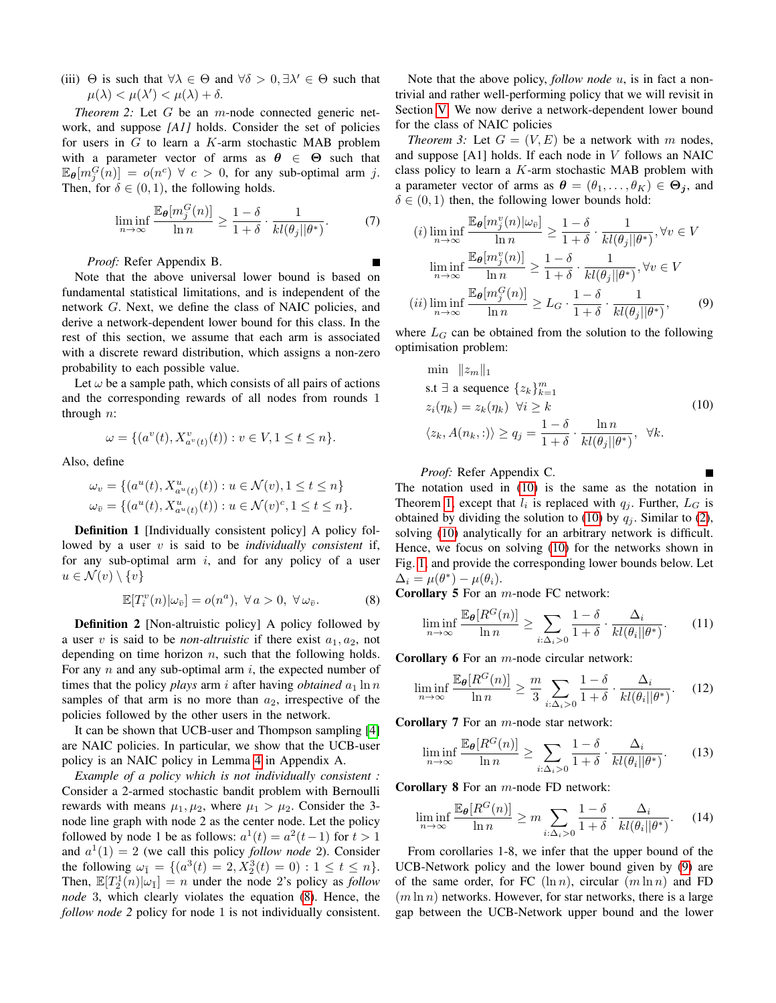(iii)  $\Theta$  is such that  $\forall \lambda \in \Theta$  and  $\forall \delta > 0, \exists \lambda' \in \Theta$  such that  $\mu(\lambda) < \mu(\lambda') < \mu(\lambda) + \delta.$ 

<span id="page-4-5"></span>*Theorem 2:* Let G be an m-node connected generic network, and suppose *[A1]* holds. Consider the set of policies for users in  $G$  to learn a  $K$ -arm stochastic MAB problem with a parameter vector of arms as  $\theta \in \Theta$  such that  $\mathbb{E}_{\theta}[m_j^G(n)] = o(n^c) \ \forall \ c > 0$ , for any sub-optimal arm j. Then, for  $\delta \in (0,1)$ , the following holds.

<span id="page-4-4"></span>
$$
\liminf_{n \to \infty} \frac{\mathbb{E}_{\theta}[m_j^G(n)]}{\ln n} \ge \frac{1-\delta}{1+\delta} \cdot \frac{1}{kl(\theta_j||\theta^*)}.
$$
 (7)

*Proof:* Refer Appendix B.

Note that the above universal lower bound is based on fundamental statistical limitations, and is independent of the network G. Next, we define the class of NAIC policies, and derive a network-dependent lower bound for this class. In the rest of this section, we assume that each arm is associated with a discrete reward distribution, which assigns a non-zero probability to each possible value.

Let  $\omega$  be a sample path, which consists of all pairs of actions and the corresponding rewards of all nodes from rounds 1 through  $n$ :

$$
\omega = \{ (a^v(t), X^v_{a^v(t)}(t)) : v \in V, 1 \le t \le n \}.
$$

Also, define

$$
\omega_v = \{ (a^u(t), X^u_{a^u(t)}(t)) : u \in \mathcal{N}(v), 1 \le t \le n \}
$$
  

$$
\omega_{\bar{v}} = \{ (a^u(t), X^u_{a^u(t)}(t)) : u \in \mathcal{N}(v)^c, 1 \le t \le n \}.
$$

**Definition 1** [Individually consistent policy] A policy followed by a user v is said to be *individually consistent* if, for any sub-optimal arm  $i$ , and for any policy of a user  $u \in \mathcal{N}(v) \setminus \{v\}$ 

<span id="page-4-0"></span>
$$
\mathbb{E}[T_i^v(n)|\omega_{\bar{v}}] = o(n^a), \ \forall \, a > 0, \ \forall \, \omega_{\bar{v}}.\tag{8}
$$

**Definition 2** [Non-altruistic policy] A policy followed by a user v is said to be *non-altruistic* if there exist  $a_1, a_2$ , not depending on time horizon  $n$ , such that the following holds. For any  $n$  and any sub-optimal arm  $i$ , the expected number of times that the policy *plays* arm *i* after having *obtained*  $a_1 \ln n$ samples of that arm is no more than  $a_2$ , irrespective of the policies followed by the other users in the network.

It can be shown that UCB-user and Thompson sampling [\[4\]](#page-7-3) are NAIC policies. In particular, we show that the UCB-user policy is an NAIC policy in Lemma [4](#page-10-0) in Appendix A.

*Example of a policy which is not individually consistent :* Consider a 2-armed stochastic bandit problem with Bernoulli rewards with means  $\mu_1, \mu_2$ , where  $\mu_1 > \mu_2$ . Consider the 3node line graph with node 2 as the center node. Let the policy followed by node 1 be as follows:  $a^1(t) = a^2(t-1)$  for  $t > 1$ and  $a^1(1) = 2$  (we call this policy *follow node* 2). Consider the following  $\omega_{\bar{1}} = \{ (a^3(t) = 2, X_2^3(t) = 0) : 1 \le t \le n \}.$ Then,  $\mathbb{E}[T_2^1(n)|\omega_1] = n$  under the node 2's policy as *follow node* 3, which clearly violates the equation [\(8\)](#page-4-0). Hence, the *follow node 2* policy for node 1 is not individually consistent.

Note that the above policy, *follow node* u, is in fact a nontrivial and rather well-performing policy that we will revisit in Section [V.](#page-5-0) We now derive a network-dependent lower bound for the class of NAIC policies

<span id="page-4-6"></span>*Theorem 3:* Let  $G = (V, E)$  be a network with m nodes, and suppose [A1] holds. If each node in V follows an NAIC class policy to learn a K-arm stochastic MAB problem with a parameter vector of arms as  $\boldsymbol{\theta} = (\theta_1, \dots, \theta_K) \in \boldsymbol{\Theta}_j$ , and  $\delta \in (0, 1)$  then, the following lower bounds hold:

$$
(i) \liminf_{n \to \infty} \frac{\mathbb{E}_{\theta}[m_j^v(n)|\omega_{\bar{v}}]}{\ln n} \ge \frac{1-\delta}{1+\delta} \cdot \frac{1}{kl(\theta_j||\theta^*)}, \forall v \in V
$$

$$
\liminf_{n \to \infty} \frac{\mathbb{E}_{\theta}[m_j^v(n)]}{\ln n} \ge \frac{1-\delta}{1+\delta} \cdot \frac{1}{kl(\theta_j||\theta^*)}, \forall v \in V
$$

$$
(ii) \liminf_{n \to \infty} \frac{\mathbb{E}_{\theta}[m_j^G(n)]}{\ln n} \ge L_G \cdot \frac{1-\delta}{1+\delta} \cdot \frac{1}{kl(\theta_j||\theta^*)}, \qquad (9)
$$

where  $L_G$  can be obtained from the solution to the following optimisation problem:

<span id="page-4-2"></span><span id="page-4-1"></span>
$$
\min ||z_m||_1
$$
\ns.t  $\exists$  a sequence  $\{z_k\}_{k=1}^m$   
\n $z_i(\eta_k) = z_k(\eta_k) \quad \forall i \ge k$   
\n $\langle z_k, A(n_k, : \rangle) \ge q_j = \frac{1 - \delta}{1 + \delta} \cdot \frac{\ln n}{kl(\theta_j||\theta^*)}, \quad \forall k.$ \n(10)

*Proof:* Refer Appendix C.

The notation used in [\(10\)](#page-4-1) is the same as the notation in Theorem [1,](#page-2-4) except that  $l_i$  is replaced with  $q_j$ . Further,  $L_G$  is obtained by dividing the solution to [\(10\)](#page-4-1) by  $q_i$ . Similar to [\(2\)](#page-3-1), solving [\(10\)](#page-4-1) analytically for an arbitrary network is difficult. Hence, we focus on solving [\(10\)](#page-4-1) for the networks shown in Fig. [1,](#page-2-3) and provide the corresponding lower bounds below. Let  $\Delta_i = \mu(\theta^*) - \mu(\theta_i).$ 

Corollary 5 For an m-node FC network:

$$
\liminf_{n \to \infty} \frac{\mathbb{E}_{\theta}[R^G(n)]}{\ln n} \ge \sum_{i:\Delta_i > 0} \frac{1 - \delta}{1 + \delta} \cdot \frac{\Delta_i}{kl(\theta_i||\theta^*)}.
$$
 (11)

**Corollary 6** For an  $m$ -node circular network:

$$
\liminf_{n \to \infty} \frac{\mathbb{E}_{\theta}[R^G(n)]}{\ln n} \ge \frac{m}{3} \sum_{i:\Delta_i > 0} \frac{1 - \delta}{1 + \delta} \cdot \frac{\Delta_i}{kl(\theta_i||\theta^*)}.
$$
 (12)

**Corollary 7** For an  $m$ -node star network:

<span id="page-4-3"></span>
$$
\liminf_{n \to \infty} \frac{\mathbb{E}_{\theta}[R^G(n)]}{\ln n} \ge \sum_{i:\Delta_i > 0} \frac{1 - \delta}{1 + \delta} \cdot \frac{\Delta_i}{kl(\theta_i||\theta^*)}.\tag{13}
$$

**Corollary 8** For an  $m$ -node FD network:

$$
\liminf_{n \to \infty} \frac{\mathbb{E}_{\theta}[R^G(n)]}{\ln n} \ge m \sum_{i:\Delta_i > 0} \frac{1 - \delta}{1 + \delta} \cdot \frac{\Delta_i}{kl(\theta_i||\theta^*)}.\tag{14}
$$

From corollaries 1-8, we infer that the upper bound of the UCB-Network policy and the lower bound given by [\(9\)](#page-4-2) are of the same order, for FC  $(\ln n)$ , circular  $(m \ln n)$  and FD  $(m \ln n)$  networks. However, for star networks, there is a large gap between the UCB-Network upper bound and the lower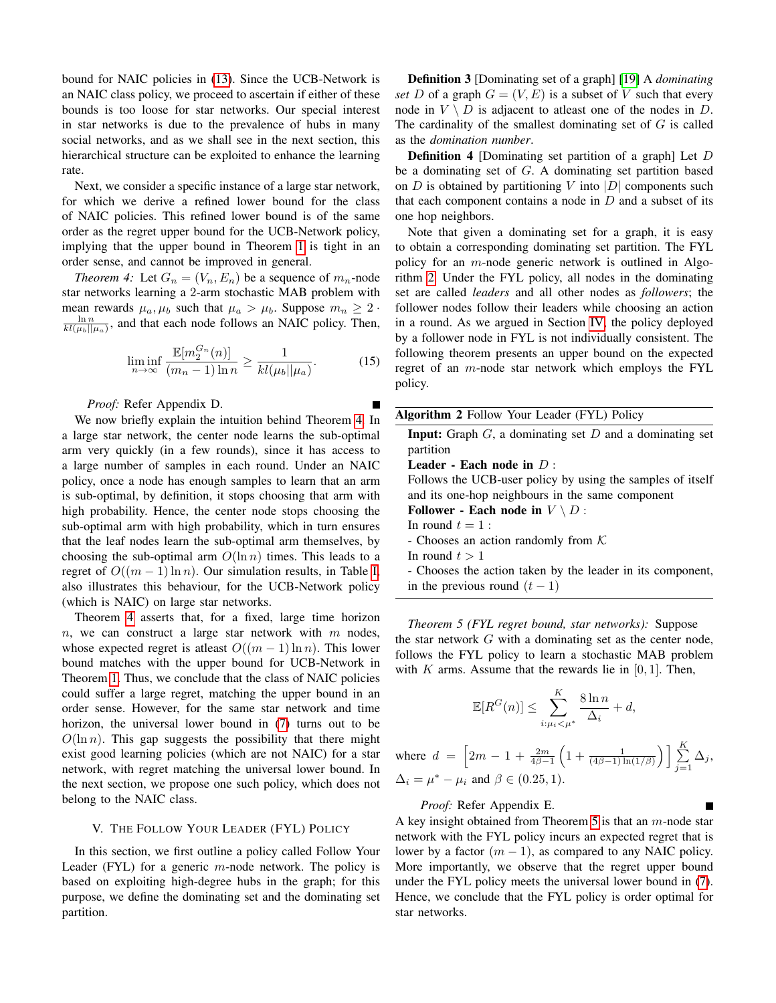bound for NAIC policies in [\(13\)](#page-4-3). Since the UCB-Network is an NAIC class policy, we proceed to ascertain if either of these bounds is too loose for star networks. Our special interest in star networks is due to the prevalence of hubs in many social networks, and as we shall see in the next section, this hierarchical structure can be exploited to enhance the learning rate.

Next, we consider a specific instance of a large star network, for which we derive a refined lower bound for the class of NAIC policies. This refined lower bound is of the same order as the regret upper bound for the UCB-Network policy, implying that the upper bound in Theorem [1](#page-2-4) is tight in an order sense, and cannot be improved in general.

*Theorem 4:* Let  $G_n = (V_n, E_n)$  be a sequence of  $m_n$ -node star networks learning a 2-arm stochastic MAB problem with mean rewards  $\mu_a, \mu_b$  such that  $\mu_a > \mu_b$ . Suppose  $m_n \geq 2$ .  $\frac{\ln n}{kl(\mu_b||\mu_a)}$ , and that each node follows an NAIC policy. Then,

$$
\liminf_{n \to \infty} \frac{\mathbb{E}[m_2^{G_n}(n)]}{(m_n - 1)\ln n} \ge \frac{1}{kl(\mu_b||\mu_a)}.
$$
 (15)

*Proof:* Refer Appendix D.

We now briefly explain the intuition behind Theorem [4.](#page-5-1) In a large star network, the center node learns the sub-optimal arm very quickly (in a few rounds), since it has access to a large number of samples in each round. Under an NAIC policy, once a node has enough samples to learn that an arm is sub-optimal, by definition, it stops choosing that arm with high probability. Hence, the center node stops choosing the sub-optimal arm with high probability, which in turn ensures that the leaf nodes learn the sub-optimal arm themselves, by choosing the sub-optimal arm  $O(\ln n)$  times. This leads to a regret of  $O((m-1)\ln n)$ . Our simulation results, in Table [I,](#page-6-2) also illustrates this behaviour, for the UCB-Network policy (which is NAIC) on large star networks.

Theorem [4](#page-5-1) asserts that, for a fixed, large time horizon  $n$ , we can construct a large star network with  $m$  nodes, whose expected regret is at least  $O((m-1)\ln n)$ . This lower bound matches with the upper bound for UCB-Network in Theorem [1.](#page-2-4) Thus, we conclude that the class of NAIC policies could suffer a large regret, matching the upper bound in an order sense. However, for the same star network and time horizon, the universal lower bound in [\(7\)](#page-4-4) turns out to be  $O(\ln n)$ . This gap suggests the possibility that there might exist good learning policies (which are not NAIC) for a star network, with regret matching the universal lower bound. In the next section, we propose one such policy, which does not belong to the NAIC class.

#### V. THE FOLLOW YOUR LEADER (FYL) POLICY

<span id="page-5-0"></span>In this section, we first outline a policy called Follow Your Leader (FYL) for a generic  $m$ -node network. The policy is based on exploiting high-degree hubs in the graph; for this purpose, we define the dominating set and the dominating set partition.

Definition 3 [Dominating set of a graph] [\[19\]](#page-7-15) A *dominating set* D of a graph  $G = (V, E)$  is a subset of V such that every node in  $V \setminus D$  is adjacent to atleast one of the nodes in D. The cardinality of the smallest dominating set of  $G$  is called as the *domination number*.

Definition 4 [Dominating set partition of a graph] Let D be a dominating set of G. A dominating set partition based on  $D$  is obtained by partitioning  $V$  into  $|D|$  components such that each component contains a node in  $D$  and a subset of its one hop neighbors.

<span id="page-5-1"></span>Note that given a dominating set for a graph, it is easy to obtain a corresponding dominating set partition. The FYL policy for an m-node generic network is outlined in Algorithm [2.](#page-5-2) Under the FYL policy, all nodes in the dominating set are called *leaders* and all other nodes as *followers*; the follower nodes follow their leaders while choosing an action in a round. As we argued in Section [IV,](#page-3-0) the policy deployed by a follower node in FYL is not individually consistent. The following theorem presents an upper bound on the expected regret of an m-node star network which employs the FYL policy.

<span id="page-5-2"></span>

| <b>Algorithm 2</b> Follow Your Leader (FYL) Policy                  |
|---------------------------------------------------------------------|
| <b>Input:</b> Graph $G$ , a dominating set $D$ and a dominating set |
| partition                                                           |
| Leader - Each node in $D$ :                                         |
| Follows the UCB-user policy by using the samples of itself          |
| and its one-hop neighbours in the same component                    |
| Follower - Each node in $V \setminus D$ :                           |
| In round $t=1$ :                                                    |
| - Chooses an action randomly from $K$                               |
| In round $t > 1$                                                    |
| - Chooses the action taken by the leader in its component,          |
| in the previous round $(t-1)$                                       |

<span id="page-5-3"></span>*Theorem 5 (FYL regret bound, star networks):* Suppose the star network  $G$  with a dominating set as the center node, follows the FYL policy to learn a stochastic MAB problem with K arms. Assume that the rewards lie in  $[0, 1]$ . Then,

$$
\mathbb{E}[R^G(n)] \le \sum_{i:\mu_i < \mu^*}^{K} \frac{8\ln n}{\Delta_i} + d,
$$

where 
$$
d = \left[2m - 1 + \frac{2m}{4\beta - 1} \left(1 + \frac{1}{(4\beta - 1)\ln(1/\beta)}\right)\right] \sum_{j=1}^{K} \Delta_j
$$
,  
\n $\Delta_i = \mu^* - \mu_i$  and  $\beta \in (0.25, 1)$ .

*Proof:* Refer Appendix E.

A key insight obtained from Theorem [5](#page-5-3) is that an  $m$ -node star network with the FYL policy incurs an expected regret that is lower by a factor  $(m - 1)$ , as compared to any NAIC policy. More importantly, we observe that the regret upper bound under the FYL policy meets the universal lower bound in [\(7\)](#page-4-4). Hence, we conclude that the FYL policy is order optimal for star networks.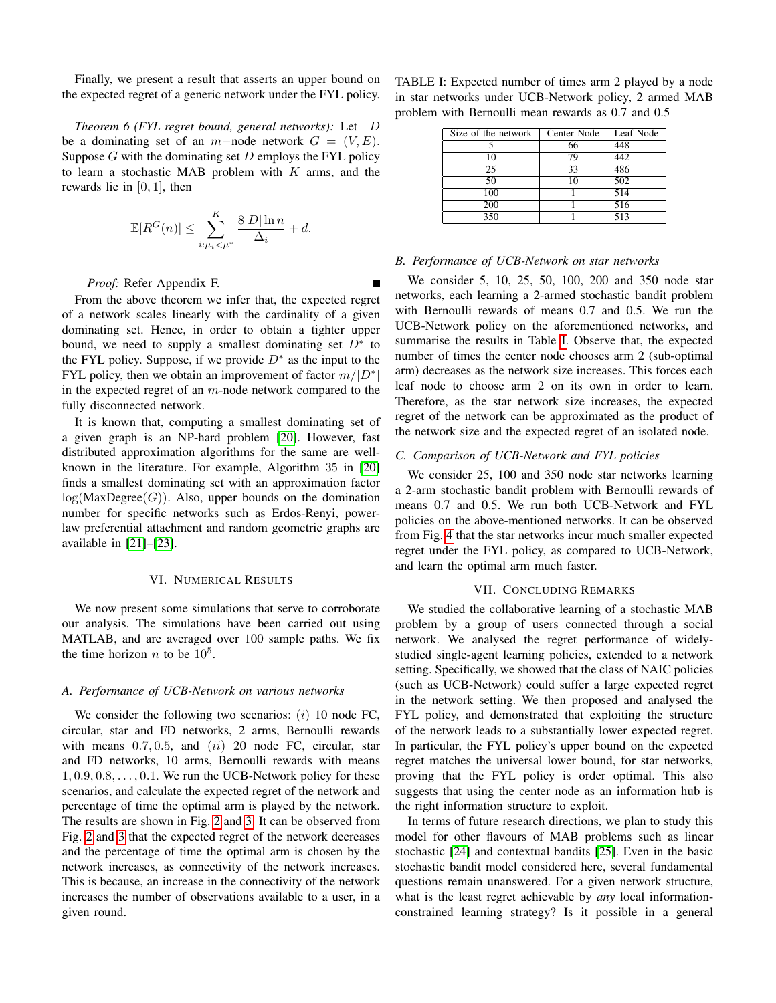Finally, we present a result that asserts an upper bound on the expected regret of a generic network under the FYL policy.

<span id="page-6-3"></span>*Theorem 6 (FYL regret bound, general networks):* Let D be a dominating set of an m−node network  $G = (V, E)$ . Suppose  $G$  with the dominating set  $D$  employs the FYL policy to learn a stochastic MAB problem with  $K$  arms, and the rewards lie in  $[0, 1]$ , then

$$
\mathbb{E}[R^G(n)] \le \sum_{i:\mu_i < \mu^*}^{K} \frac{8|D|\ln n}{\Delta_i} + d.
$$

*Proof:* Refer Appendix F.

From the above theorem we infer that, the expected regret of a network scales linearly with the cardinality of a given dominating set. Hence, in order to obtain a tighter upper bound, we need to supply a smallest dominating set  $D^*$  to the FYL policy. Suppose, if we provide  $D^*$  as the input to the FYL policy, then we obtain an improvement of factor  $m/|D^*|$ in the expected regret of an  $m$ -node network compared to the fully disconnected network.

It is known that, computing a smallest dominating set of a given graph is an NP-hard problem [\[20\]](#page-7-16). However, fast distributed approximation algorithms for the same are wellknown in the literature. For example, Algorithm 35 in [\[20\]](#page-7-16) finds a smallest dominating set with an approximation factor  $log(MaxDegree(G))$ . Also, upper bounds on the domination number for specific networks such as Erdos-Renyi, powerlaw preferential attachment and random geometric graphs are available in [\[21\]](#page-7-17)–[\[23\]](#page-8-1).

#### VI. NUMERICAL RESULTS

<span id="page-6-0"></span>We now present some simulations that serve to corroborate our analysis. The simulations have been carried out using MATLAB, and are averaged over 100 sample paths. We fix the time horizon *n* to be  $10^5$ .

### *A. Performance of UCB-Network on various networks*

We consider the following two scenarios:  $(i)$  10 node FC, circular, star and FD networks, 2 arms, Bernoulli rewards with means  $0.7, 0.5$ , and  $(ii)$  20 node FC, circular, star and FD networks, 10 arms, Bernoulli rewards with means  $1, 0.9, 0.8, \ldots, 0.1$ . We run the UCB-Network policy for these scenarios, and calculate the expected regret of the network and percentage of time the optimal arm is played by the network. The results are shown in Fig. [2](#page-7-18) and [3.](#page-7-18) It can be observed from Fig. [2](#page-7-18) and [3](#page-7-18) that the expected regret of the network decreases and the percentage of time the optimal arm is chosen by the network increases, as connectivity of the network increases. This is because, an increase in the connectivity of the network increases the number of observations available to a user, in a given round.

<span id="page-6-2"></span>TABLE I: Expected number of times arm 2 played by a node in star networks under UCB-Network policy, 2 armed MAB problem with Bernoulli mean rewards as 0.7 and 0.5

| Size of the network | Center Node | Leaf Node        |
|---------------------|-------------|------------------|
|                     | 66          | 448              |
| 10                  | 79          | 442              |
| 25                  | 33          | 486              |
| 50                  | 10          | 502              |
| 100                 |             | $\overline{514}$ |
| 200                 |             | 516              |
| 350                 |             | 513              |

## *B. Performance of UCB-Network on star networks*

We consider 5, 10, 25, 50, 100, 200 and 350 node star networks, each learning a 2-armed stochastic bandit problem with Bernoulli rewards of means 0.7 and 0.5. We run the UCB-Network policy on the aforementioned networks, and summarise the results in Table [I.](#page-6-2) Observe that, the expected number of times the center node chooses arm 2 (sub-optimal arm) decreases as the network size increases. This forces each leaf node to choose arm 2 on its own in order to learn. Therefore, as the star network size increases, the expected regret of the network can be approximated as the product of the network size and the expected regret of an isolated node.

## *C. Comparison of UCB-Network and FYL policies*

We consider 25, 100 and 350 node star networks learning a 2-arm stochastic bandit problem with Bernoulli rewards of means 0.7 and 0.5. We run both UCB-Network and FYL policies on the above-mentioned networks. It can be observed from Fig. [4](#page-7-18) that the star networks incur much smaller expected regret under the FYL policy, as compared to UCB-Network, and learn the optimal arm much faster.

## VII. CONCLUDING REMARKS

<span id="page-6-1"></span>We studied the collaborative learning of a stochastic MAB problem by a group of users connected through a social network. We analysed the regret performance of widelystudied single-agent learning policies, extended to a network setting. Specifically, we showed that the class of NAIC policies (such as UCB-Network) could suffer a large expected regret in the network setting. We then proposed and analysed the FYL policy, and demonstrated that exploiting the structure of the network leads to a substantially lower expected regret. In particular, the FYL policy's upper bound on the expected regret matches the universal lower bound, for star networks, proving that the FYL policy is order optimal. This also suggests that using the center node as an information hub is the right information structure to exploit.

In terms of future research directions, we plan to study this model for other flavours of MAB problems such as linear stochastic [\[24\]](#page-8-2) and contextual bandits [\[25\]](#page-8-3). Even in the basic stochastic bandit model considered here, several fundamental questions remain unanswered. For a given network structure, what is the least regret achievable by *any* local informationconstrained learning strategy? Is it possible in a general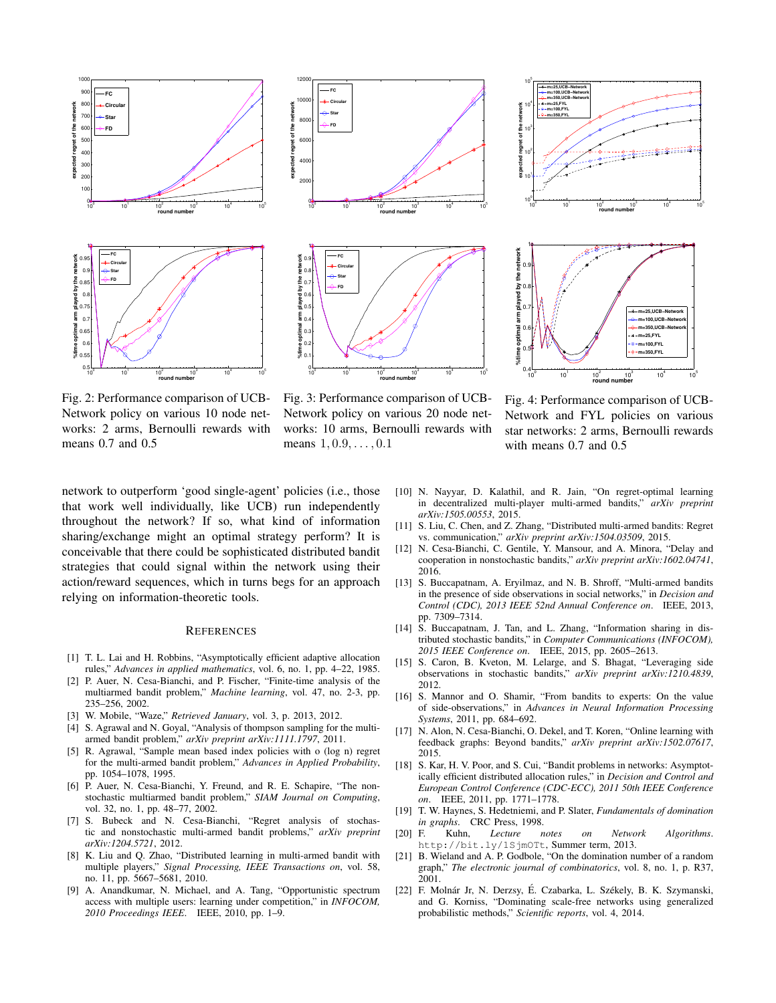<span id="page-7-18"></span>

Fig. 2: Performance comparison of UCB-Network policy on various 10 node networks: 2 arms, Bernoulli rewards with means 0.7 and 0.5



Fig. 3: Performance comparison of UCB-Network policy on various 20 node networks: 10 arms, Bernoulli rewards with means  $1, 0.9, \ldots, 0.1$ 

 $0$   $10^{1}$   $10^{2}$   $10^{3}$   $10^{4}$   $10^{5}$ 

**round number**



Fig. 4: Performance comparison of UCB-Network and FYL policies on various star networks: 2 arms, Bernoulli rewards with means 0.7 and 0.5

network to outperform 'good single-agent' policies (i.e., those that work well individually, like UCB) run independently throughout the network? If so, what kind of information sharing/exchange might an optimal strategy perform? It is conceivable that there could be sophisticated distributed bandit strategies that could signal within the network using their action/reward sequences, which in turns begs for an approach relying on information-theoretic tools.

#### **REFERENCES**

- <span id="page-7-0"></span>[1] T. L. Lai and H. Robbins, "Asymptotically efficient adaptive allocation rules," *Advances in applied mathematics*, vol. 6, no. 1, pp. 4–22, 1985.
- <span id="page-7-1"></span>[2] P. Auer, N. Cesa-Bianchi, and P. Fischer, "Finite-time analysis of the multiarmed bandit problem," *Machine learning*, vol. 47, no. 2-3, pp. 235–256, 2002.
- <span id="page-7-2"></span>[3] W. Mobile, "Waze," *Retrieved January*, vol. 3, p. 2013, 2012.
- <span id="page-7-3"></span>[4] S. Agrawal and N. Goyal, "Analysis of thompson sampling for the multiarmed bandit problem," *arXiv preprint arXiv:1111.1797*, 2011.
- <span id="page-7-4"></span>[5] R. Agrawal, "Sample mean based index policies with o (log n) regret for the multi-armed bandit problem," *Advances in Applied Probability*, pp. 1054–1078, 1995.
- [6] P. Auer, N. Cesa-Bianchi, Y. Freund, and R. E. Schapire, "The nonstochastic multiarmed bandit problem," *SIAM Journal on Computing*, vol. 32, no. 1, pp. 48–77, 2002.
- <span id="page-7-5"></span>[7] S. Bubeck and N. Cesa-Bianchi, "Regret analysis of stochastic and nonstochastic multi-armed bandit problems," *arXiv preprint arXiv:1204.5721*, 2012.
- <span id="page-7-6"></span>[8] K. Liu and Q. Zhao, "Distributed learning in multi-armed bandit with multiple players," *Signal Processing, IEEE Transactions on*, vol. 58, no. 11, pp. 5667–5681, 2010.
- [9] A. Anandkumar, N. Michael, and A. Tang, "Opportunistic spectrum access with multiple users: learning under competition," in *INFOCOM, 2010 Proceedings IEEE*. IEEE, 2010, pp. 1–9.
- <span id="page-7-7"></span>[10] N. Nayyar, D. Kalathil, and R. Jain, "On regret-optimal learning in decentralized multi-player multi-armed bandits," *arXiv preprint arXiv:1505.00553*, 2015.
- <span id="page-7-8"></span>[11] S. Liu, C. Chen, and Z. Zhang, "Distributed multi-armed bandits: Regret vs. communication," *arXiv preprint arXiv:1504.03509*, 2015.
- <span id="page-7-9"></span>[12] N. Cesa-Bianchi, C. Gentile, Y. Mansour, and A. Minora, "Delay and cooperation in nonstochastic bandits," *arXiv preprint arXiv:1602.04741*, 2016.
- <span id="page-7-10"></span>[13] S. Buccapatnam, A. Eryilmaz, and N. B. Shroff, "Multi-armed bandits" in the presence of side observations in social networks," in *Decision and Control (CDC), 2013 IEEE 52nd Annual Conference on*. IEEE, 2013, pp. 7309–7314.
- <span id="page-7-11"></span>[14] S. Buccapatnam, J. Tan, and L. Zhang, "Information sharing in distributed stochastic bandits," in *Computer Communications (INFOCOM), 2015 IEEE Conference on*. IEEE, 2015, pp. 2605–2613.
- <span id="page-7-12"></span>[15] S. Caron, B. Kveton, M. Lelarge, and S. Bhagat, "Leveraging side observations in stochastic bandits," *arXiv preprint arXiv:1210.4839*, 2012.
- [16] S. Mannor and O. Shamir, "From bandits to experts: On the value of side-observations," in *Advances in Neural Information Processing Systems*, 2011, pp. 684–692.
- <span id="page-7-13"></span>[17] N. Alon, N. Cesa-Bianchi, O. Dekel, and T. Koren, "Online learning with feedback graphs: Beyond bandits," *arXiv preprint arXiv:1502.07617*, 2015.
- <span id="page-7-14"></span>[18] S. Kar, H. V. Poor, and S. Cui, "Bandit problems in networks: Asymptotically efficient distributed allocation rules," in *Decision and Control and European Control Conference (CDC-ECC), 2011 50th IEEE Conference on*. IEEE, 2011, pp. 1771–1778.
- <span id="page-7-15"></span>[19] T. W. Haynes, S. Hedetniemi, and P. Slater, *Fundamentals of domination in graphs.* CRC Press, 1998.<br>[20] F. Kuhn, Lecture
- <span id="page-7-16"></span>Lecture notes on Network Algorithms. http://bit.ly/1SjmOTt, Summer term, 2013.
- <span id="page-7-17"></span>[21] B. Wieland and A. P. Godbole, "On the domination number of a random graph," *The electronic journal of combinatorics*, vol. 8, no. 1, p. R37, 2001.
- [22] F. Molnár Jr, N. Derzsy, É. Czabarka, L. Székely, B. K. Szymanski, and G. Korniss, "Dominating scale-free networks using generalized probabilistic methods," *Scientific reports*, vol. 4, 2014.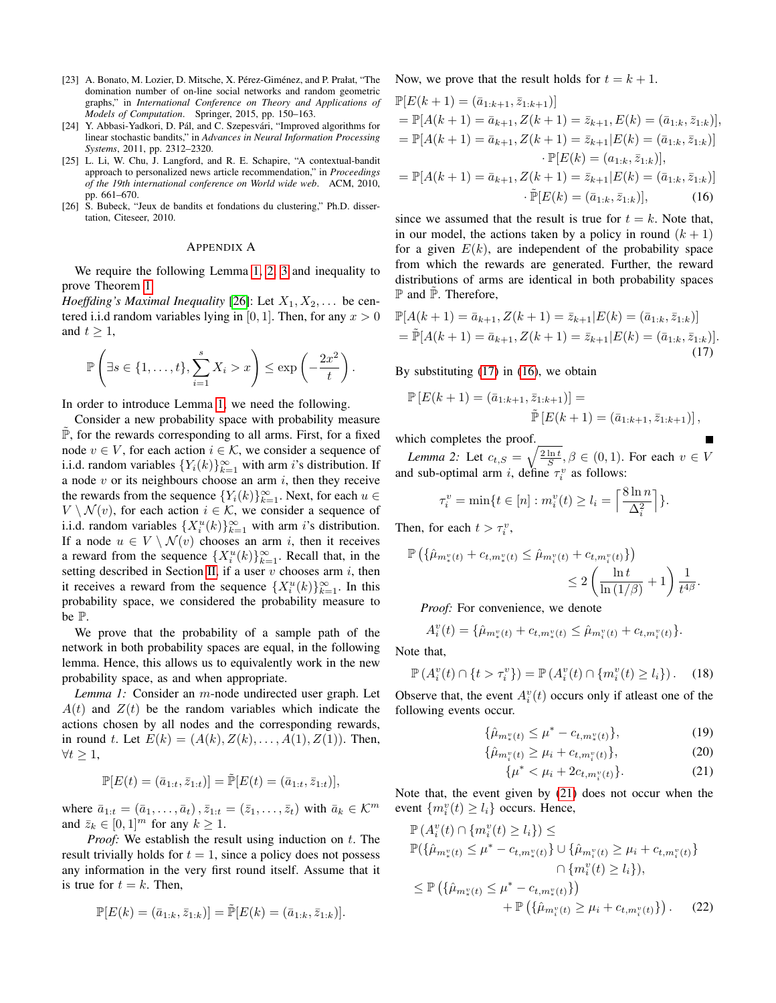- <span id="page-8-1"></span>[23] A. Bonato, M. Lozier, D. Mitsche, X. Pérez-Giménez, and P. Prałat, "The domination number of on-line social networks and random geometric graphs," in *International Conference on Theory and Applications of Models of Computation*. Springer, 2015, pp. 150–163.
- <span id="page-8-2"></span>[24] Y. Abbasi-Yadkori, D. Pál, and C. Szepesvári, "Improved algorithms for linear stochastic bandits," in *Advances in Neural Information Processing Systems*, 2011, pp. 2312–2320.
- <span id="page-8-3"></span>[25] L. Li, W. Chu, J. Langford, and R. E. Schapire, "A contextual-bandit approach to personalized news article recommendation," in *Proceedings of the 19th international conference on World wide web*. ACM, 2010, pp. 661–670.
- <span id="page-8-5"></span>[26] S. Bubeck, "Jeux de bandits et fondations du clustering," Ph.D. dissertation, Citeseer, 2010.

#### APPENDIX A

We require the following Lemma [1,](#page-8-4) [2,](#page-8-0) [3](#page-9-0) and inequality to prove Theorem [1.](#page-2-4)

*Hoeffding's Maximal Inequality* [\[26\]](#page-8-5): Let  $X_1, X_2, \ldots$  be centered i.i.d random variables lying in [0, 1]. Then, for any  $x > 0$ and  $t > 1$ ,

$$
\mathbb{P}\left(\exists s \in \{1,\ldots,t\}, \sum_{i=1}^s X_i > x\right) \le \exp\left(-\frac{2x^2}{t}\right).
$$

In order to introduce Lemma [1,](#page-8-4) we need the following.

Consider a new probability space with probability measure  $\mathbb{P}$ , for the rewards corresponding to all arms. First, for a fixed node  $v \in V$ , for each action  $i \in \mathcal{K}$ , we consider a sequence of i.i.d. random variables  ${Y_i(k)}_{k=1}^{\infty}$  with arm i's distribution. If a node  $v$  or its neighbours choose an arm  $i$ , then they receive the rewards from the sequence  $\{Y_i(k)\}_{k=1}^{\infty}$ . Next, for each  $u \in$  $V \setminus \mathcal{N}(v)$ , for each action  $i \in \mathcal{K}$ , we consider a sequence of i.i.d. random variables  $\{X_i^u(k)\}_{k=1}^\infty$  with arm *i*'s distribution. If a node  $u \in V \setminus \mathcal{N}(v)$  chooses an arm i, then it receives a reward from the sequence  $\{X_i^u(k)\}_{k=1}^{\infty}$ . Recall that, in the setting described in Section [II,](#page-1-1) if a user  $v$  chooses arm  $i$ , then it receives a reward from the sequence  $\{X_i^u(k)\}_{k=1}^\infty$ . In this probability space, we considered the probability measure to be P.

We prove that the probability of a sample path of the network in both probability spaces are equal, in the following lemma. Hence, this allows us to equivalently work in the new probability space, as and when appropriate.

*Lemma 1:* Consider an m-node undirected user graph. Let  $A(t)$  and  $Z(t)$  be the random variables which indicate the actions chosen by all nodes and the corresponding rewards, in round t. Let  $E(k) = (A(k), Z(k), \ldots, A(1), Z(1))$ . Then,  $\forall t \geq 1,$ 

$$
\mathbb{P}[E(t) = (\bar{a}_{1:t}, \bar{z}_{1:t})] = \tilde{\mathbb{P}}[E(t) = (\bar{a}_{1:t}, \bar{z}_{1:t})],
$$

where  $\bar{a}_{1:t} = (\bar{a}_1, \ldots, \bar{a}_t), \bar{z}_{1:t} = (\bar{z}_1, \ldots, \bar{z}_t)$  with  $\bar{a}_k \in \mathcal{K}^m$ and  $\bar{z}_k \in [0, 1]^m$  for any  $k \geq 1$ .

*Proof:* We establish the result using induction on t. The result trivially holds for  $t = 1$ , since a policy does not possess any information in the very first round itself. Assume that it is true for  $t = k$ . Then,

$$
\mathbb{P}[E(k) = (\bar{a}_{1:k}, \bar{z}_{1:k})] = \tilde{\mathbb{P}}[E(k) = (\bar{a}_{1:k}, \bar{z}_{1:k})].
$$

Now, we prove that the result holds for  $t = k + 1$ .

$$
\mathbb{P}[E(k+1) = (\bar{a}_{1:k+1}, \bar{z}_{1:k+1})]
$$
\n
$$
= \mathbb{P}[A(k+1) = \bar{a}_{k+1}, Z(k+1) = \bar{z}_{k+1}, E(k) = (\bar{a}_{1:k}, \bar{z}_{1:k})],
$$
\n
$$
= \mathbb{P}[A(k+1) = \bar{a}_{k+1}, Z(k+1) = \bar{z}_{k+1}|E(k) = (\bar{a}_{1:k}, \bar{z}_{1:k})]
$$
\n
$$
\cdot \mathbb{P}[E(k) = (a_{1:k}, \bar{z}_{1:k})],
$$
\n
$$
= \mathbb{P}[A(k+1) = \bar{a}_{k+1}, Z(k+1) = \bar{z}_{k+1}|E(k) = (\bar{a}_{1:k}, \bar{z}_{1:k})]
$$

 $\cdot \tilde{\mathbb{P}}[E(k) = (\bar{a}_{1:k}, \bar{z}_{1:k})],$  (16) since we assumed that the result is true for  $t = k$ . Note that, in our model, the actions taken by a policy in round  $(k + 1)$ for a given  $E(k)$ , are independent of the probability space from which the rewards are generated. Further, the reward distributions of arms are identical in both probability spaces

$$
\mathbb{P}[A(k+1) = \bar{a}_{k+1}, Z(k+1) = \bar{z}_{k+1} | E(k) = (\bar{a}_{1:k}, \bar{z}_{1:k})]
$$
  
= 
$$
\mathbb{P}[A(k+1) = \bar{a}_{k+1}, Z(k+1) = \bar{z}_{k+1} | E(k) = (\bar{a}_{1:k}, \bar{z}_{1:k})].
$$
 (17)

By substituting  $(17)$  in  $(16)$ , we obtain

$$
\mathbb{P}\left[E(k+1)=(\bar{a}_{1:k+1},\bar{z}_{1:k+1})\right]=\newline \tilde{\mathbb{P}}\left[E(k+1)=(\bar{a}_{1:k+1},\bar{z}_{1:k+1})\right],
$$

<span id="page-8-7"></span><span id="page-8-6"></span>Г

which completes the proof.

<span id="page-8-0"></span>*Lemma 2:* Let  $c_{t,S} = \sqrt{\frac{2 \ln t}{S}}, \beta \in (0,1)$ . For each  $v \in V$ and sub-optimal arm *i*, define  $\tau_i^v$  as follows:

$$
\tau_i^v = \min\{t \in [n] : m_i^v(t) \ge l_i = \left\lceil \frac{8\ln n}{\Delta_i^2} \right\rceil\}.
$$

Then, for each  $t > \tau_i^v$ ,

 $\mathbb P$  and  $\mathbb P$ . Therefore,

$$
\mathbb{P}\left(\{\hat{\mu}_{m_*^v(t)} + c_{t,m_*^v(t)} \le \hat{\mu}_{m_i^v(t)} + c_{t,m_i^v(t)}\}\right) \le 2\left(\frac{\ln t}{\ln(1/\beta)} + 1\right)\frac{1}{t^{4\beta}}.
$$

*Proof:* For convenience, we denote

$$
A_i^v(t) = \{\hat{\mu}_{m_*^v(t)} + c_{t,m_*^v(t)} \leq \hat{\mu}_{m_i^v(t)} + c_{t,m_i^v(t)}\}.
$$

<span id="page-8-4"></span>Note that,

$$
\mathbb{P}\left(A_i^v(t)\cap\{t>\tau_i^v\}\right)=\mathbb{P}\left(A_i^v(t)\cap\{m_i^v(t)\geq l_i\}\right).
$$
 (18)

Observe that, the event  $A_i^v(t)$  occurs only if atleast one of the following events occur.

$$
\{\hat{\mu}_{m^v_*(t)} \le \mu^* - c_{t,m^v_*(t)}\},\tag{19}
$$

$$
\{\hat{\mu}_{m_i^v(t)} \ge \mu_i + c_{t,m_i^v(t)}\},\tag{20}
$$

<span id="page-8-9"></span><span id="page-8-8"></span>
$$
\{\mu^* < \mu_i + 2c_{t,m_i^v(t)}\}.\tag{21}
$$

Note that, the event given by [\(21\)](#page-8-8) does not occur when the event  $\{m_i^v(t) \ge l_i\}$  occurs. Hence,

$$
\mathbb{P}(A_i^v(t) \cap \{m_i^v(t) \ge l_i\}) \le
$$
  
\n
$$
\mathbb{P}(\{\hat{\mu}_{m_i^v(t)} \le \mu^* - c_{t,m_i^v(t)}\} \cup \{\hat{\mu}_{m_i^v(t)} \ge \mu_i + c_{t,m_i^v(t)}\}\
$$
  
\n
$$
\cap \{m_i^v(t) \ge l_i\}),
$$
  
\n
$$
\le \mathbb{P}(\{\hat{\mu}_{m_i^v(t)} \le \mu^* - c_{t,m_i^v(t)}\})
$$
  
\n
$$
+ \mathbb{P}(\{\hat{\mu}_{m_i^v(t)} \ge \mu_i + c_{t,m_i^v(t)}\}).
$$
\n(22)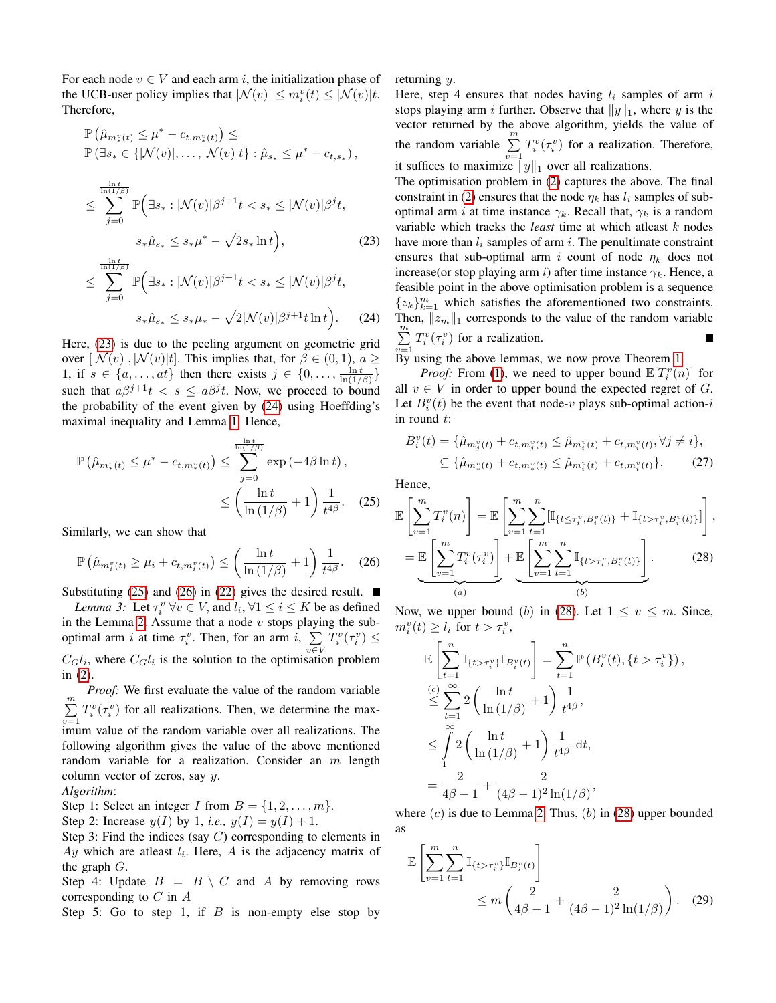For each node  $v \in V$  and each arm i, the initialization phase of the UCB-user policy implies that  $|\mathcal{N}(v)| \le m_i^v(t) \le |\mathcal{N}(v)|t$ . Therefore,

$$
\begin{aligned} &\mathbb{P}\left(\hat{\mu}_{m_{*}^{v}(t)}\leq\mu^{*}-c_{t,m_{*}^{v}(t)}\right)\leq\\ &\mathbb{P}\left(\exists s_{*}\in\{|\mathcal{N}(v)|,\ldots,|\mathcal{N}(v)|t\}:\hat{\mu}_{s_{*}}\leq\mu^{*}-c_{t,s_{*}}\right),\\ &\leq\sum_{j=0}^{\frac{\ln{t}}{\ln\left(1/\beta\right)}}\mathbb{P}\Big(\exists s_{*}:\vert\mathcal{N}(v)\vert\beta^{j+1}t
$$

$$
s_*\hat{\mu}_{s_*} \le s_*\mu^* - \sqrt{2s_*\ln t}\bigg),\tag{23}
$$

$$
\leq \sum_{j=0}^{\frac{\ln(t/\beta)}{\ln(1/\beta)}} \mathbb{P} \Big( \exists s_* : |\mathcal{N}(v)| \beta^{j+1} t < s_* \leq |\mathcal{N}(v)| \beta^j t, \quad s_* \hat{\mu}_{s_*} \leq s_* \mu_* - \sqrt{2|\mathcal{N}(v)| \beta^{j+1} t \ln t} \Big). \tag{24}
$$

Here, [\(23\)](#page-9-1) is due to the peeling argument on geometric grid over  $[\mathcal{N}(v), \mathcal{N}(v)|t]$ . This implies that, for  $\beta \in (0, 1), a \geq 1$ 1, if  $s \in \{a, \ldots, at\}$  then there exists  $j \in \{0, \ldots, \frac{\ln t}{\ln(1/\beta)}\}$ such that  $a\beta^{j+1}t < s \le a\beta^j t$ . Now, we proceed to bound the probability of the event given by [\(24\)](#page-9-2) using Hoeffding's maximal inequality and Lemma [1.](#page-8-4) Hence,

$$
\mathbb{P}\left(\hat{\mu}_{m_*^v(t)} \le \mu^* - c_{t,m_*^v(t)}\right) \le \sum_{j=0}^{\frac{\ln t}{\ln(1/\beta)}} \exp\left(-4\beta \ln t\right),
$$
  

$$
\le \left(\frac{\ln t}{\ln\left(1/\beta\right)} + 1\right) \frac{1}{t^{4\beta}}.\tag{25}
$$

Similarly, we can show that

<span id="page-9-4"></span>
$$
\mathbb{P}\left(\hat{\mu}_{m_i^v(t)} \ge \mu_i + c_{t,m_i^v(t)}\right) \le \left(\frac{\ln t}{\ln\left(1/\beta\right)} + 1\right) \frac{1}{t^{4\beta}}.\tag{26}
$$

<span id="page-9-0"></span>Substituting [\(25\)](#page-9-3) and [\(26\)](#page-9-4) in [\(22\)](#page-8-9) gives the desired result.  $\blacksquare$ *Lemma 3:* Let  $\tau_i^v \forall v \in V$ , and  $l_i, \forall 1 \le i \le K$  be as defined in the Lemma [2.](#page-8-0) Assume that a node  $v$  stops playing the suboptimal arm i at time  $\tau_i^v$ . Then, for an arm i,  $\Sigma$  $T_i^v(\tau_i^v) \leq$ 

v∈V  $C_G l_i$ , where  $C_G l_i$  is the solution to the optimisation problem in [\(2\)](#page-3-1).

*Proof:* We first evaluate the value of the random variable  $\sum_{i=1}^{m}$  $\sum_{v=1} T_i^v(\tau_i^v)$  for all realizations. Then, we determine the maximum value of the random variable over all realizations. The following algorithm gives the value of the above mentioned random variable for a realization. Consider an  $m$  length column vector of zeros, say  $y$ .

#### *Algorithm*:

Step 1: Select an integer I from  $B = \{1, 2, \ldots, m\}.$ 

Step 2: Increase  $y(I)$  by 1, *i.e.*,  $y(I) = y(I) + 1$ .

Step 3: Find the indices (say  $C$ ) corresponding to elements in  $Ay$  which are atleast  $l_i$ . Here,  $A$  is the adjacency matrix of the graph  $G$ .

Step 4: Update  $B = B \setminus C$  and A by removing rows corresponding to  $C$  in  $A$ 

Step 5: Go to step 1, if  $B$  is non-empty else stop by

returning y.

Here, step 4 ensures that nodes having  $l_i$  samples of arm i stops playing arm i further. Observe that  $||y||_1$ , where y is the vector returned by the above algorithm, yields the value of the random variable  $\sum_{i=1}^{m} T_i^v(\tau_i^v)$  for a realization. Therefore, it suffices to maximize  $||y||_1$  over all realizations.

<span id="page-9-1"></span>The optimisation problem in [\(2\)](#page-3-1) captures the above. The final constraint in [\(2\)](#page-3-1) ensures that the node  $\eta_k$  has  $l_i$  samples of suboptimal arm i at time instance  $\gamma_k$ . Recall that,  $\gamma_k$  is a random variable which tracks the *least* time at which atleast k nodes have more than  $l_i$  samples of arm i. The penultimate constraint ensures that sub-optimal arm i count of node  $\eta_k$  does not increase(or stop playing arm i) after time instance  $\gamma_k$ . Hence, a feasible point in the above optimisation problem is a sequence  ${z_k}_{k=1}^m$  which satisfies the aforementioned two constraints. Then,  $||z_m||_1$  corresponds to the value of the random variable  $\sum_{i=1}^{m} T_i^v(\tau_i^v)$  for a realization. П

<span id="page-9-2"></span> $v=1$ <br>By using the above lemmas, we now prove Theorem [1.](#page-2-4)

*Proof:* From [\(1\)](#page-2-5), we need to upper bound  $\mathbb{E}[T_i^v(n)]$  for all  $v \in V$  in order to upper bound the expected regret of G. Let  $B_i^v(t)$  be the event that node-v plays sub-optimal action-i in round t:

$$
B_i^v(t) = \{\hat{\mu}_{m_j^v(t)} + c_{t,m_j^v(t)} \le \hat{\mu}_{m_i^v(t)} + c_{t,m_i^v(t)}, \forall j \ne i\},
$$
  

$$
\subseteq \{\hat{\mu}_{m_*^v(t)} + c_{t,m_*^v(t)} \le \hat{\mu}_{m_i^v(t)} + c_{t,m_i^v(t)}\}.
$$
 (27)

<span id="page-9-3"></span>Hence,

$$
\mathbb{E}\left[\sum_{v=1}^{m}T_{i}^{v}(n)\right] = \mathbb{E}\left[\sum_{v=1}^{m}\sum_{t=1}^{n}[\mathbb{I}_{\{t\leq\tau_{i}^{v},B_{i}^{v}(t)\}}+\mathbb{I}_{\{t>\tau_{i}^{v},B_{i}^{v}(t)\}}]\right],
$$
\n
$$
=\mathbb{E}\left[\sum_{v=1}^{m}T_{i}^{v}(\tau_{i}^{v})\right]+\mathbb{E}\left[\sum_{v=1}^{m}\sum_{t=1}^{n}\mathbb{I}_{\{t>\tau_{i}^{v},B_{i}^{v}(t)\}}\right].
$$
\n(28)

Now, we upper bound (b) in [\(28\)](#page-9-5). Let  $1 \le v \le m$ . Since,  $m_i^v(t) \geq l_i$  for  $t > \tau_i^v$ ,

<span id="page-9-5"></span>
$$
\mathbb{E}\left[\sum_{t=1}^{n}\mathbb{I}_{\{t>\tau_i^v\}}\mathbb{I}_{B_i^v(t)}\right] = \sum_{t=1}^{n}\mathbb{P}\left(B_i^v(t), \{t>\tau_i^v\}\right),
$$
\n
$$
\leq \sum_{t=1}^{\infty} 2\left(\frac{\ln t}{\ln\left(1/\beta\right)} + 1\right) \frac{1}{t^{4\beta}},
$$
\n
$$
\leq \int_{1}^{\infty} 2\left(\frac{\ln t}{\ln\left(1/\beta\right)} + 1\right) \frac{1}{t^{4\beta}} dt,
$$
\n
$$
= \frac{2}{4\beta - 1} + \frac{2}{(4\beta - 1)^2 \ln(1/\beta)},
$$

where  $(c)$  is due to Lemma [2.](#page-8-0) Thus,  $(b)$  in [\(28\)](#page-9-5) upper bounded as

<span id="page-9-6"></span>
$$
\mathbb{E}\left[\sum_{v=1}^{m}\sum_{t=1}^{n}\mathbb{I}_{\{t>\tau_{i}^{v}\}}\mathbb{I}_{B_{i}^{v}(t)}\right] \leq m\left(\frac{2}{4\beta-1}+\frac{2}{(4\beta-1)^{2}\ln(1/\beta)}\right).
$$
 (29)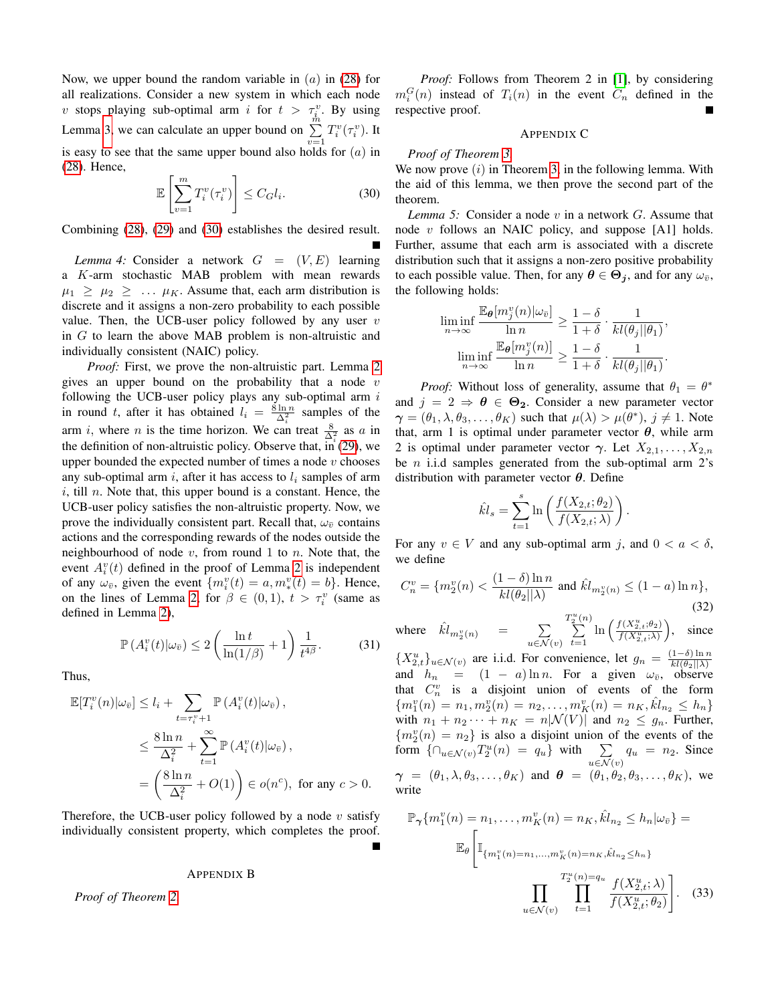Now, we upper bound the random variable in  $(a)$  in [\(28\)](#page-9-5) for all realizations. Consider a new system in which each node v stops playing sub-optimal arm i for  $t > \tau_i^v$ . By using Lemma [3,](#page-9-0) we can calculate an upper bound on  $\sum_{v=1}^{n} T_i^v(\tau_i^v)$ . It is easy to see that the same upper bound also holds for  $(a)$  in [\(28\)](#page-9-5). Hence,

<span id="page-10-1"></span>
$$
\mathbb{E}\left[\sum_{v=1}^{m}T_{i}^{v}(\tau_{i}^{v})\right] \leq C_{G}l_{i}.\tag{30}
$$

Combining [\(28\)](#page-9-5), [\(29\)](#page-9-6) and [\(30\)](#page-10-1) establishes the desired result.

<span id="page-10-0"></span>*Lemma 4:* Consider a network  $G = (V, E)$  learning a K-arm stochastic MAB problem with mean rewards  $\mu_1 \geq \mu_2 \geq \ldots \mu_K$ . Assume that, each arm distribution is discrete and it assigns a non-zero probability to each possible value. Then, the UCB-user policy followed by any user  $v$ in G to learn the above MAB problem is non-altruistic and individually consistent (NAIC) policy.

*Proof:* First, we prove the non-altruistic part. Lemma [2](#page-8-0) gives an upper bound on the probability that a node  $v$ following the UCB-user policy plays any sub-optimal arm  $i$ in round t, after it has obtained  $l_i = \frac{8 \ln n}{\Delta_i^2}$  samples of the arm i, where *n* is the time horizon. We can treat  $\frac{8}{\Delta_i^2}$  as a in the definition of non-altruistic policy. Observe that,  $\overrightarrow{in}$  [\(29\)](#page-9-6), we upper bounded the expected number of times a node  $v$  chooses any sub-optimal arm i, after it has access to  $l_i$  samples of arm  $i$ , till n. Note that, this upper bound is a constant. Hence, the UCB-user policy satisfies the non-altruistic property. Now, we prove the individually consistent part. Recall that,  $\omega_{\bar{v}}$  contains actions and the corresponding rewards of the nodes outside the neighbourhood of node  $v$ , from round 1 to  $n$ . Note that, the event  $A_i^v(t)$  defined in the proof of Lemma [2](#page-8-0) is independent of any  $\omega_{\bar{v}}$ , given the event  $\{m_i^v(t) = a, m_*^v(t) = b\}$ . Hence, on the lines of Lemma [2,](#page-8-0) for  $\beta \in (0,1)$ ,  $t > \tau_i^v$  (same as defined in Lemma [2\)](#page-8-0),

$$
\mathbb{P}\left(A_i^v(t)|\omega_{\bar{v}}\right) \le 2\left(\frac{\ln t}{\ln(1/\beta)} + 1\right)\frac{1}{t^{4\beta}}.\tag{31}
$$

Thus,

$$
\mathbb{E}[T_i^v(n)|\omega_{\bar{v}}] \le l_i + \sum_{t=\tau_i^v+1} \mathbb{P}(A_i^v(t)|\omega_{\bar{v}}),
$$
  
\n
$$
\le \frac{8\ln n}{\Delta_i^2} + \sum_{t=1}^\infty \mathbb{P}(A_i^v(t)|\omega_{\bar{v}}),
$$
  
\n
$$
= \left(\frac{8\ln n}{\Delta_i^2} + O(1)\right) \in o(n^c), \text{ for any } c > 0.
$$

Therefore, the UCB-user policy followed by a node  $v$  satisfy individually consistent property, which completes the proof.

#### APPENDIX B

*Proof of Theorem [2.](#page-4-5)*

*Proof:* Follows from Theorem 2 in [\[1\]](#page-7-0), by considering  $m_i^G(n)$  instead of  $T_i(n)$  in the event  $C_n$  defined in the respective proof.

### APPENDIX C

#### *Proof of Theorem [3.](#page-4-6)*

We now prove  $(i)$  in Theorem [3,](#page-4-6) in the following lemma. With the aid of this lemma, we then prove the second part of the theorem.

<span id="page-10-2"></span>*Lemma 5:* Consider a node v in a network G. Assume that node  $v$  follows an NAIC policy, and suppose [A1] holds. Further, assume that each arm is associated with a discrete distribution such that it assigns a non-zero positive probability to each possible value. Then, for any  $\theta \in \Theta_j$ , and for any  $\omega_{\bar{v}}$ , the following holds:

$$
\liminf_{n \to \infty} \frac{\mathbb{E}_{\theta}[m_j^v(n)|\omega_{\bar{v}}]}{\ln n} \ge \frac{1-\delta}{1+\delta} \cdot \frac{1}{kl(\theta_j||\theta_1)},
$$

$$
\liminf_{n \to \infty} \frac{\mathbb{E}_{\theta}[m_j^v(n)]}{\ln n} \ge \frac{1-\delta}{1+\delta} \cdot \frac{1}{kl(\theta_j||\theta_1)}.
$$

*Proof:* Without loss of generality, assume that  $\theta_1 = \theta^*$ and  $j = 2 \Rightarrow \theta \in \Theta_2$ . Consider a new parameter vector  $\gamma = (\theta_1, \lambda, \theta_3, \dots, \theta_K)$  such that  $\mu(\lambda) > \mu(\theta^*)$ ,  $j \neq 1$ . Note that, arm 1 is optimal under parameter vector  $\theta$ , while arm 2 is optimal under parameter vector  $\gamma$ . Let  $X_{2,1}, \ldots, X_{2,n}$ be  $n$  i.i.d samples generated from the sub-optimal arm  $2$ 's distribution with parameter vector  $\theta$ . Define

$$
\hat{kl}_s = \sum_{t=1}^s \ln\left(\frac{f(X_{2,t};\theta_2)}{f(X_{2,t};\lambda)}\right).
$$

For any  $v \in V$  and any sub-optimal arm j, and  $0 < a < \delta$ , we define

$$
C_n^v = \{ m_2^v(n) < \frac{(1 - \delta) \ln n}{k l(\theta_2 || \lambda)} \text{ and } \hat{k} l_{m_2^v(n)} \le (1 - a) \ln n \},\tag{32}
$$

where  $\hat{k}l_{m_2^v(n)} = \sum_{n=1}^\infty$  $u \in \mathcal{N}(v)$  $\overline{\sum_{j=1}^{u}(n)}$  $\sum_{t=1}^{2} \ln \left( \frac{f(X_{2,t}^u; \theta_2)}{f(X_{2,t}^u; \lambda)} \right)$  $\setminus$ since

 ${X_{2,t}^u}_{u \in \mathcal{N}(v)}$  are i.i.d. For convenience, let  $g_n = \frac{(1-\delta)\ln n}{k l(\theta_2||\lambda)}$ and  $h_n = (1 - a) \ln n$ . For a given  $\omega_{\bar{v}}$ , observed that  $C_n^v$  is a disjoint union of events of the form  ${m_1^v(n)} = n_1, m_2^v(n) = n_2, \ldots, m_K^v(n) = n_K, \hat{k}l_{n_2} \leq h_n$ with  $n_1 + n_2 \cdots + n_K = n|\mathcal{N}(V)|$  and  $n_2 \leq g_n$ . Further,  ${m_2^n(n) = n_2}$  is also a disjoint union of the events of the form  $\{\bigcap_{u \in \mathcal{N}(v)} T_2^u(n) = q_u\}$  with  $\sum_{u \in \mathcal{N}(v)} q_u = n_2$ . Since  $\boldsymbol{\gamma}$  =  $(\theta_1, \lambda, \theta_3, \dots, \theta_K)$  and  $\boldsymbol{\theta}$  =  $(\theta_1, \theta_2, \theta_3, \dots, \theta_K)$ , we write

$$
\mathbb{P}_{\gamma}\{m_1^v(n) = n_1, \dots, m_K^v(n) = n_K, \hat{k}l_{n_2} \le h_n | \omega_{\bar{v}} \} =
$$

$$
\mathbb{E}_{\theta}\left[\mathbb{I}_{\{m_1^v(n) = n_1, \dots, m_K^v(n) = n_K, \hat{k}l_{n_2} \le h_n\}}\right]
$$

$$
\prod_{u \in \mathcal{N}(v)} \prod_{t=1}^{T_2^u(n) = q_u} \frac{f(X_{2,t}^u; \lambda)}{f(X_{2,t}^u; \theta_2)}\right].
$$
(33)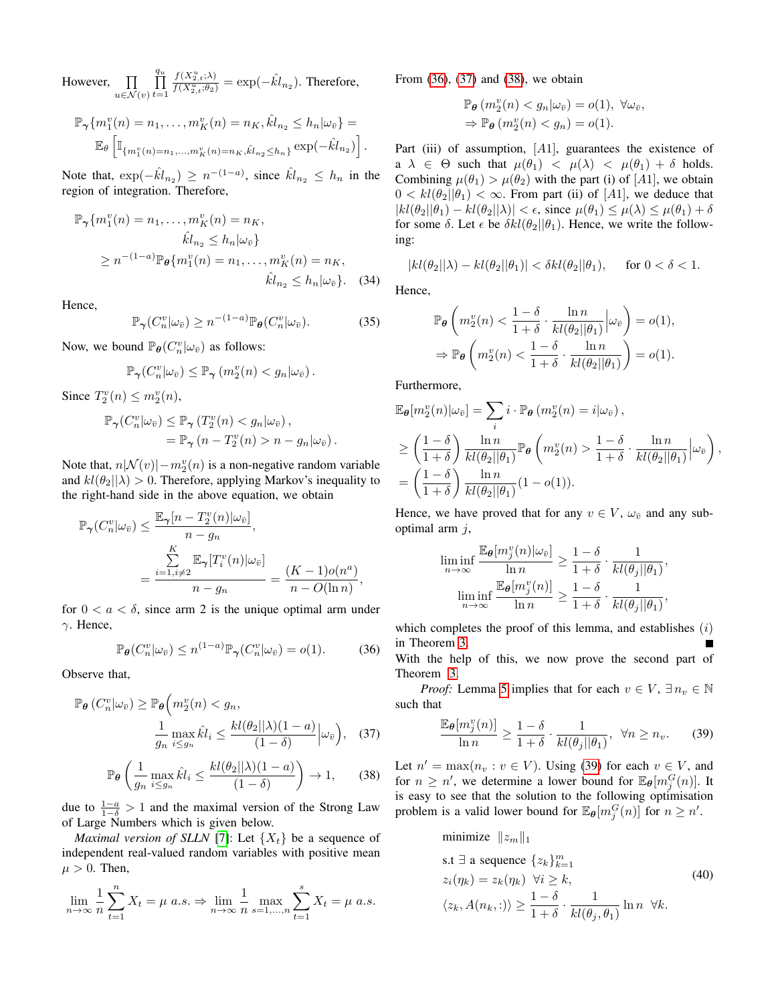However,  $\prod$  $u \in \mathcal{N}(v)$  $\prod^{q_u}$  $t=1$  $\frac{f(X_{2,t}^u; \lambda)}{f(X_{2,t}^u; \theta_2)} = \exp(-\hat{kl}_{n_2})$ . Therefore,

$$
\mathbb{P}_{\gamma}\{m_1^v(n) = n_1, \dots, m_K^v(n) = n_K, \hat{k}l_{n_2} \le h_n|\omega_{\bar{v}}\} =
$$
  

$$
\mathbb{E}_{\theta}\left[\mathbb{I}_{\{m_1^v(n) = n_1, \dots, m_K^v(n) = n_K, \hat{k}l_{n_2} \le h_n\}}\exp(-\hat{k}l_{n_2})\right].
$$

Note that,  $\exp(-\hat{kl}_{n_2}) \ge n^{-(1-a)}$ , since  $\hat{kl}_{n_2} \le h_n$  in the region of integration. Therefore,

$$
\mathbb{P}_{\gamma}\{m_1^v(n) = n_1, ..., m_K^v(n) = n_K, \hat{k}l_{n_2} \le h_n|\omega_{\bar{v}}\}\ge n^{-(1-a)}\mathbb{P}_{\theta}\{m_1^v(n) = n_1, ..., m_K^v(n) = n_K, \hat{k}l_{n_2} \le h_n|\omega_{\bar{v}}\}.
$$
 (34)

Hence,

$$
\mathbb{P}_{\gamma}(C_n^v|\omega_{\bar{v}}) \ge n^{-(1-a)} \mathbb{P}_{\theta}(C_n^v|\omega_{\bar{v}}). \tag{35}
$$

Now, we bound  $\mathbb{P}_{\theta}(C_n^v|\omega_{\bar{v}})$  as follows:

$$
\mathbb{P}_{\gamma}(C_n^v|\omega_{\bar{v}}) \leq \mathbb{P}_{\gamma}(m_2^v(n) < g_n|\omega_{\bar{v}}).
$$

Since  $T_2^v(n) \leq m_2^v(n)$ ,

$$
\mathbb{P}_{\gamma}(C_n^v|\omega_{\bar{v}}) \leq \mathbb{P}_{\gamma}(T_2^v(n) < g_n|\omega_{\bar{v}}),
$$
\n
$$
= \mathbb{P}_{\gamma}(n - T_2^v(n) > n - g_n|\omega_{\bar{v}}).
$$

Note that,  $n|\mathcal{N}(v)| - m_2^v(n)$  is a non-negative random variable and  $kl(\theta_2||\lambda) > 0$ . Therefore, applying Markov's inequality to the right-hand side in the above equation, we obtain

$$
\mathbb{P}_{\gamma}(C_n^v|\omega_{\bar{v}}) \le \frac{\mathbb{E}_{\gamma}[n - T_2^v(n)|\omega_{\bar{v}}]}{n - g_n},
$$
  
= 
$$
\frac{\sum_{i=1, i \ne 2}^K \mathbb{E}_{\gamma}[T_i^v(n)|\omega_{\bar{v}}]}{n - g_n} = \frac{(K - 1)o(n^a)}{n - O(\ln n)},
$$

for  $0 < a < \delta$ , since arm 2 is the unique optimal arm under γ. Hence,

<span id="page-11-0"></span>
$$
\mathbb{P}_{\theta}(C_n^v|\omega_{\bar{v}}) \le n^{(1-a)} \mathbb{P}_{\gamma}(C_n^v|\omega_{\bar{v}}) = o(1). \tag{36}
$$

Observe that,

$$
\mathbb{P}_{\theta} \left( C_n^v | \omega_{\bar{v}} \right) \ge \mathbb{P}_{\theta} \left( m_2^v(n) < g_n, \frac{1}{g_n} \max_{i \le g_n} \hat{k} l_i \le \frac{k l(\theta_2 || \lambda)(1 - a)}{(1 - \delta)} \Big| \omega_{\bar{v}} \right), \quad (37)
$$

<span id="page-11-2"></span>
$$
\mathbb{P}_{\theta}\left(\frac{1}{g_n}\max_{i\leq g_n}\hat{kl}_i\leq \frac{kl(\theta_2||\lambda)(1-a)}{(1-\delta)}\right)\to 1,\qquad(38)
$$

due to  $\frac{1-a}{1-\delta} > 1$  and the maximal version of the Strong Law of Large Numbers which is given below.

*Maximal version of SLLN* [\[7\]](#page-7-5): Let  $\{X_t\}$  be a sequence of independent real-valued random variables with positive mean  $\mu > 0$ . Then,

$$
\lim_{n \to \infty} \frac{1}{n} \sum_{t=1}^{n} X_t = \mu \ a.s. \Rightarrow \lim_{n \to \infty} \frac{1}{n} \max_{s=1,...,n} \sum_{t=1}^{s} X_t = \mu \ a.s.
$$

From [\(36\)](#page-11-0), [\(37\)](#page-11-1) and [\(38\)](#page-11-2), we obtain

$$
\mathbb{P}_{\theta} (m_2^v(n) < g_n | \omega_{\bar{v}}) = o(1), \ \forall \omega_{\bar{v}},
$$
\n
$$
\Rightarrow \mathbb{P}_{\theta} (m_2^v(n) < g_n) = o(1).
$$

Part (iii) of assumption,  $[A1]$ , guarantees the existence of a  $\lambda \in \Theta$  such that  $\mu(\theta_1) < \mu(\lambda) < \mu(\theta_1) + \delta$  holds. Combining  $\mu(\theta_1) > \mu(\theta_2)$  with the part (i) of [A1], we obtain  $0 < kl(\theta_2||\theta_1) < \infty$ . From part (ii) of [A1], we deduce that  $|kl(\theta_2||\theta_1) - kl(\theta_2||\lambda)| < \epsilon$ , since  $\mu(\theta_1) \leq \mu(\lambda) \leq \mu(\theta_1) + \delta$ for some  $\delta$ . Let  $\epsilon$  be  $\delta kl(\theta_2||\theta_1)$ . Hence, we write the following:

$$
|kl(\theta_2||\lambda) - kl(\theta_2||\theta_1)| < \delta kl(\theta_2||\theta_1), \quad \text{ for } 0 < \delta < 1.
$$

Hence,

$$
\mathbb{P}_{\theta}\left(m_2^v(n) < \frac{1-\delta}{1+\delta} \cdot \frac{\ln n}{kl(\theta_2||\theta_1)} \Big| \omega_{\bar{v}}\right) = o(1),
$$
\n
$$
\Rightarrow \mathbb{P}_{\theta}\left(m_2^v(n) < \frac{1-\delta}{1+\delta} \cdot \frac{\ln n}{kl(\theta_2||\theta_1)}\right) = o(1).
$$

Furthermore,

$$
\mathbb{E}_{\theta}[m_{2}^{v}(n)|\omega_{\bar{v}}] = \sum_{i} i \cdot \mathbb{P}_{\theta}(m_{2}^{v}(n) = i|\omega_{\bar{v}}),
$$
\n
$$
\geq \left(\frac{1-\delta}{1+\delta}\right) \frac{\ln n}{kl(\theta_{2}||\theta_{1})} \mathbb{P}_{\theta}\left(m_{2}^{v}(n) > \frac{1-\delta}{1+\delta} \cdot \frac{\ln n}{kl(\theta_{2}||\theta_{1})} |\omega_{\bar{v}}\right),
$$
\n
$$
= \left(\frac{1-\delta}{1+\delta}\right) \frac{\ln n}{kl(\theta_{2}||\theta_{1})} (1 - o(1)).
$$

Hence, we have proved that for any  $v \in V$ ,  $\omega_{\overline{v}}$  and any suboptimal arm  $j$ ,

$$
\liminf_{n \to \infty} \frac{\mathbb{E}_{\theta}[m_j^v(n)|\omega_{\bar{v}}]}{\ln n} \ge \frac{1-\delta}{1+\delta} \cdot \frac{1}{kl(\theta_j||\theta_1)},
$$

$$
\liminf_{n \to \infty} \frac{\mathbb{E}_{\theta}[m_j^v(n)]}{\ln n} \ge \frac{1-\delta}{1+\delta} \cdot \frac{1}{kl(\theta_j||\theta_1)},
$$

which completes the proof of this lemma, and establishes  $(i)$ in Theorem [3.](#page-4-6)

With the help of this, we now prove the second part of Theorem [3.](#page-4-6)

<span id="page-11-1"></span>*Proof:* Lemma [5](#page-10-2) implies that for each  $v \in V$ ,  $\exists n_v \in \mathbb{N}$ such that

<span id="page-11-3"></span>
$$
\frac{\mathbb{E}_{\theta}[m_j^v(n)]}{\ln n} \ge \frac{1-\delta}{1+\delta} \cdot \frac{1}{kl(\theta_j||\theta_1)}, \ \ \forall n \ge n_v. \tag{39}
$$

Let  $n' = \max(n_v : v \in V)$ . Using [\(39\)](#page-11-3) for each  $v \in V$ , and for  $n \geq n'$ , we determine a lower bound for  $\mathbb{E}_{\theta}[m_j^G(n)]$ . It is easy to see that the solution to the following optimisation problem is a valid lower bound for  $\mathbb{E}_{\theta}[m_j^G(n)]$  for  $n \geq n'$ .

<span id="page-11-4"></span>minimize 
$$
||z_m||_1
$$
  
\ns.t  $\exists$  a sequence  $\{z_k\}_{k=1}^m$   
\n $z_i(\eta_k) = z_k(\eta_k) \quad \forall i \ge k,$   
\n $\langle z_k, A(n_k, :) \rangle \ge \frac{1-\delta}{1+\delta} \cdot \frac{1}{kl(\theta_j, \theta_1)} \ln n \quad \forall k.$  (40)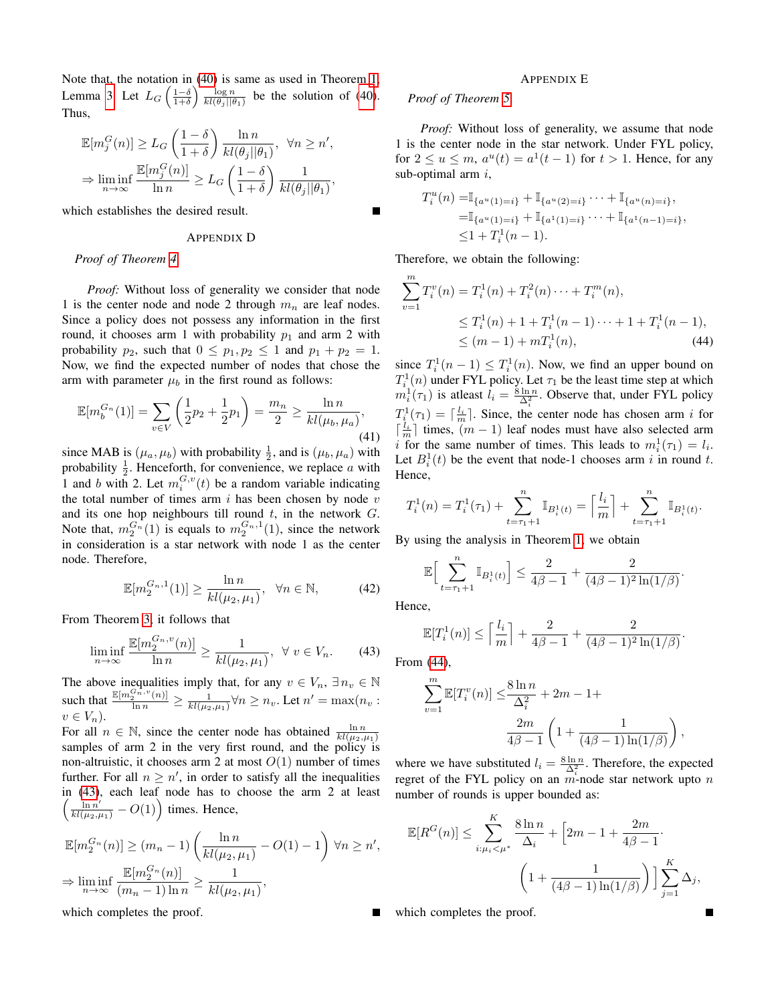Note that, the notation in [\(40\)](#page-11-4) is same as used in Theorem [1,](#page-2-4) Lemma [3.](#page-9-0) Let  $L_G\left(\frac{1-\delta}{1+\delta}\right)$   $\frac{\log n}{k l(\theta_j||\theta_1)}$  be the solution of [\(40\)](#page-11-4). Thus,

$$
\mathbb{E}[m_j^G(n)] \ge L_G\left(\frac{1-\delta}{1+\delta}\right) \frac{\ln n}{kl(\theta_j||\theta_1)}, \ \forall n \ge n',
$$
  

$$
\Rightarrow \liminf_{n \to \infty} \frac{\mathbb{E}[m_j^G(n)]}{\ln n} \ge L_G\left(\frac{1-\delta}{1+\delta}\right) \frac{1}{kl(\theta_j||\theta_1)},
$$

which establishes the desired result.

## APPENDIX D

#### *Proof of Theorem [4](#page-5-1)*.

*Proof:* Without loss of generality we consider that node 1 is the center node and node 2 through  $m_n$  are leaf nodes. Since a policy does not possess any information in the first round, it chooses arm 1 with probability  $p_1$  and arm 2 with probability  $p_2$ , such that  $0 \leq p_1, p_2 \leq 1$  and  $p_1 + p_2 = 1$ . Now, we find the expected number of nodes that chose the arm with parameter  $\mu_b$  in the first round as follows:

$$
\mathbb{E}[m_b^{G_n}(1)] = \sum_{v \in V} \left(\frac{1}{2}p_2 + \frac{1}{2}p_1\right) = \frac{m_n}{2} \ge \frac{\ln n}{kl(\mu_b, \mu_a)},\tag{41}
$$

since MAB is  $(\mu_a, \mu_b)$  with probability  $\frac{1}{2}$ , and is  $(\mu_b, \mu_a)$  with probability  $\frac{1}{2}$ . Henceforth, for convenience, we replace a with 1 and b with 2. Let  $m_i^{G,v}(t)$  be a random variable indicating the total number of times arm  $i$  has been chosen by node  $v$ and its one hop neighbours till round  $t$ , in the network  $G$ . Note that,  $m_2^{G_n}(1)$  is equals to  $m_2^{G_n,1}(1)$ , since the network in consideration is a star network with node 1 as the center node. Therefore,

$$
\mathbb{E}[m_2^{G_n,1}(1)] \ge \frac{\ln n}{kl(\mu_2,\mu_1)}, \quad \forall n \in \mathbb{N},\tag{42}
$$

From Theorem [3,](#page-4-6) it follows that

<span id="page-12-0"></span>
$$
\liminf_{n \to \infty} \frac{\mathbb{E}[m_2^{G_n, v}(n)]}{\ln n} \ge \frac{1}{kl(\mu_2, \mu_1)}, \ \ \forall \ v \in V_n. \tag{43}
$$

The above inequalities imply that, for any  $v \in V_n$ ,  $\exists n_v \in \mathbb{N}$ such that  $\frac{\mathbb{E}[m_2^{\sigma_n^2, v}(n)]}{\ln n} \ge \frac{1}{kl(\mu_2, \mu_1)} \forall n \ge n_v$ . Let  $n' = \max(n_v :$  $v \in V_n$ ).

For all  $n \in \mathbb{N}$ , since the center node has obtained  $\frac{\ln n}{kl(\mu_2,\mu_1)}$ samples of arm 2 in the very first round, and the policy is non-altruistic, it chooses arm 2 at most  $O(1)$  number of times further. For all  $n \geq n'$ , in order to satisfy all the inequalities in [\(43\)](#page-12-0), each leaf node has to choose the arm 2 at least  $\left(\frac{\ln n'}{kl(\mu_2,\mu_1)} - O(1)\right)$  times. Hence,

$$
\mathbb{E}[m_2^{G_n}(n)] \ge (m_n - 1) \left(\frac{\ln n}{kl(\mu_2, \mu_1)} - O(1) - 1\right) \forall n \ge n',
$$
  
\n
$$
\Rightarrow \liminf_{n \to \infty} \frac{\mathbb{E}[m_2^{G_n}(n)]}{(m_n - 1)\ln n} \ge \frac{1}{kl(\mu_2, \mu_1)},
$$

which completes the proof.

#### APPENDIX E

## *Proof of Theorem [5](#page-5-3)*.

*Proof:* Without loss of generality, we assume that node 1 is the center node in the star network. Under FYL policy, for  $2 \le u \le m$ ,  $a^u(t) = a^1(t-1)$  for  $t > 1$ . Hence, for any sub-optimal arm  $i$ ,

$$
T_i^u(n) = \mathbb{I}_{\{a^u(1)=i\}} + \mathbb{I}_{\{a^u(2)=i\}} \cdots + \mathbb{I}_{\{a^u(n)=i\}},
$$
  
\n
$$
= \mathbb{I}_{\{a^u(1)=i\}} + \mathbb{I}_{\{a^1(1)=i\}} \cdots + \mathbb{I}_{\{a^1(n-1)=i\}},
$$
  
\n
$$
\leq 1 + T_i^1(n-1).
$$

Therefore, we obtain the following:

<span id="page-12-1"></span>
$$
\sum_{v=1}^{m} T_i^v(n) = T_i^1(n) + T_i^2(n) \cdots + T_i^m(n),
$$
  
\n
$$
\leq T_i^1(n) + 1 + T_i^1(n-1) \cdots + 1 + T_i^1(n-1),
$$
  
\n
$$
\leq (m-1) + m T_i^1(n),
$$
 (44)

since  $T_i^1(n-1) \leq T_i^1(n)$ . Now, we find an upper bound on  $T_i^1(n)$  under FYL policy. Let  $\tau_1$  be the least time step at which  $m_i^1(\tau_1)$  is at least  $l_i = \frac{8 \ln n}{\Delta_i^2}$ . Observe that, under FYL policy  $T_{i}^{1}(\tau_1) = \lceil \frac{l_i}{m} \rceil$ . Since, the center node has chosen arm i for  $\lceil \frac{l_i}{m} \rceil$  times,  $(m-1)$  leaf nodes must have also selected arm i for the same number of times. This leads to  $m_i^1(\tau_1) = l_i$ . Let  $B_i^1(t)$  be the event that node-1 chooses arm i in round t. Hence,

$$
T_i^1(n) = T_i^1(\tau_1) + \sum_{t=\tau_1+1}^n \mathbb{I}_{B_i^1(t)} = \left\lceil \frac{l_i}{m} \right\rceil + \sum_{t=\tau_1+1}^n \mathbb{I}_{B_i^1(t)}.
$$

By using the analysis in Theorem [1,](#page-2-4) we obtain

$$
\mathbb{E}\Big[\sum_{t=\tau_1+1}^n \mathbb{I}_{B_i^1(t)}\Big] \le \frac{2}{4\beta-1} + \frac{2}{(4\beta-1)^2 \ln(1/\beta)}.
$$

Hence,

$$
\mathbb{E}[T_i^1(n)] \le \left\lceil \frac{l_i}{m} \right\rceil + \frac{2}{4\beta - 1} + \frac{2}{(4\beta - 1)^2 \ln(1/\beta)}
$$

From [\(44\)](#page-12-1),

$$
\sum_{v=1}^{m} \mathbb{E}[T_i^v(n)] \leq \frac{8 \ln n}{\Delta_i^2} + 2m - 1 +
$$

$$
\frac{2m}{4\beta - 1} \left( 1 + \frac{1}{(4\beta - 1)\ln(1/\beta)} \right),
$$

where we have substituted  $l_i = \frac{8 \ln n}{\Delta_i^2}$ . Therefore, the expected regret of the FYL policy on an  $m$ -node star network upto  $n$ number of rounds is upper bounded as:

$$
\mathbb{E}[R^{G}(n)] \leq \sum_{i:\mu_{i} < \mu^{*}}^{K} \frac{8\ln n}{\Delta_{i}} + \left[2m - 1 + \frac{2m}{4\beta - 1}\right] \cdot \left(1 + \frac{1}{(4\beta - 1)\ln(1/\beta)}\right) \cdot \sum_{j=1}^{K} \Delta_{j},
$$

which completes the proof.

.